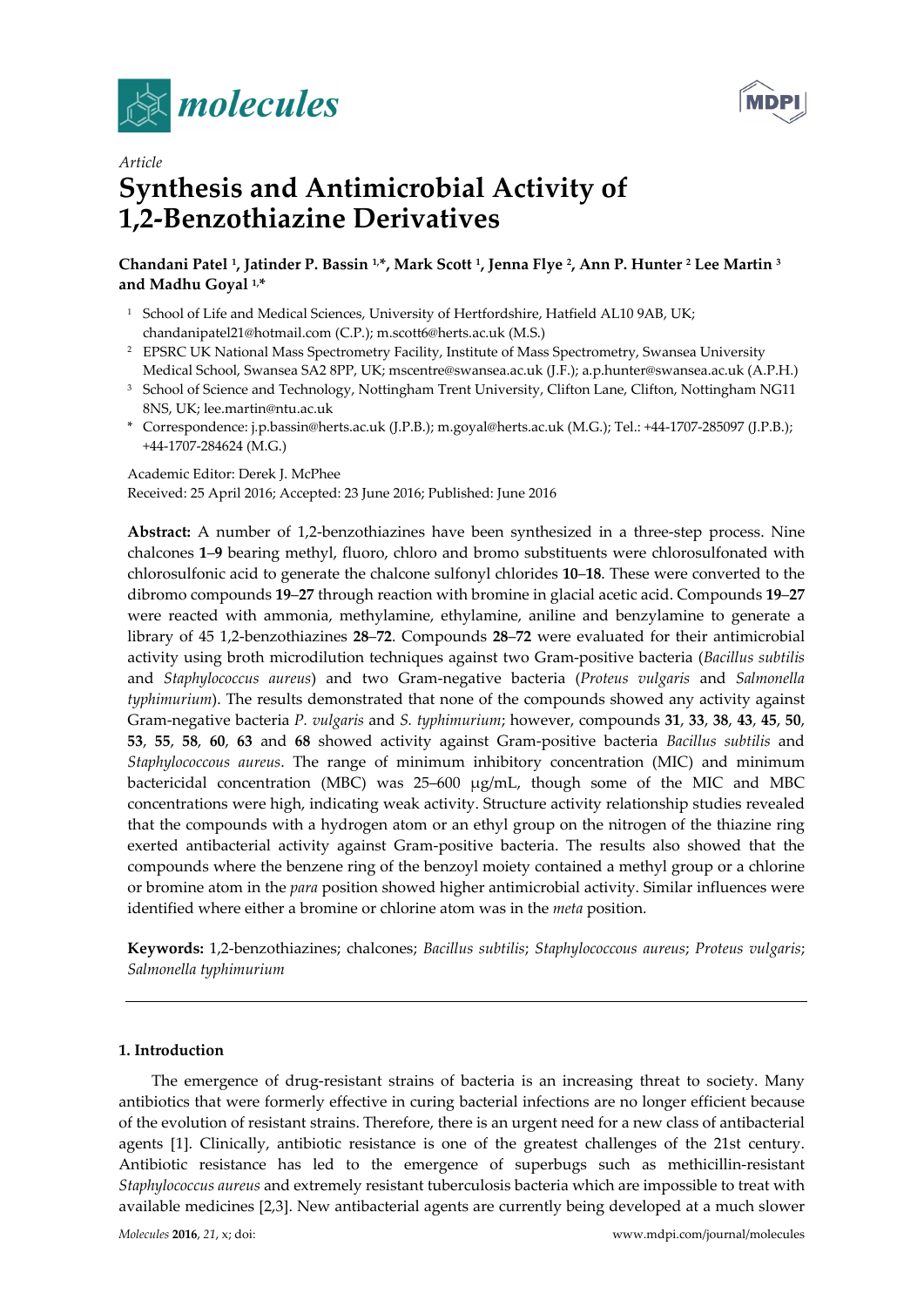



# *Article*  **Synthesis and Antimicrobial Activity of 1,2-Benzothiazine Derivatives**

# **Chandani Patel 1, Jatinder P. Bassin 1,\*, Mark Scott 1, Jenna Flye 2, Ann P. Hunter 2 Lee Martin 3 and Madhu Goyal 1,\***

- <sup>1</sup> School of Life and Medical Sciences, University of Hertfordshire, Hatfield AL10 9AB, UK; chandanipatel21@hotmail.com (C.P.); m.scott6@herts.ac.uk (M.S.)
- <sup>2</sup> EPSRC UK National Mass Spectrometry Facility, Institute of Mass Spectrometry, Swansea University Medical School, Swansea SA2 8PP, UK; mscentre@swansea.ac.uk (J.F.); a.p.hunter@swansea.ac.uk (A.P.H.)
- <sup>3</sup> School of Science and Technology, Nottingham Trent University, Clifton Lane, Clifton, Nottingham NG11 8NS, UK; lee.martin@ntu.ac.uk
- \* Correspondence: j.p.bassin@herts.ac.uk (J.P.B.); m.goyal@herts.ac.uk (M.G.); Tel.: +44-1707-285097 (J.P.B.); +44-1707-284624 (M.G.)

Academic Editor: Derek J. McPhee Received: 25 April 2016; Accepted: 23 June 2016; Published: June 2016

**Abstract:** A number of 1,2-benzothiazines have been synthesized in a three-step process. Nine chalcones **1**–**9** bearing methyl, fluoro, chloro and bromo substituents were chlorosulfonated with chlorosulfonic acid to generate the chalcone sulfonyl chlorides **10**–**18**. These were converted to the dibromo compounds **19**–**27** through reaction with bromine in glacial acetic acid. Compounds **19**–**27** were reacted with ammonia, methylamine, ethylamine, aniline and benzylamine to generate a library of 45 1,2-benzothiazines **28**–**72**. Compounds **28**–**72** were evaluated for their antimicrobial activity using broth microdilution techniques against two Gram-positive bacteria (*Bacillus subtilis* and *Staphylococcus aureus*) and two Gram-negative bacteria (*Proteus vulgaris* and *Salmonella typhimurium*). The results demonstrated that none of the compounds showed any activity against Gram-negative bacteria *P. vulgaris* and *S. typhimurium*; however, compounds **31**, **33**, **38**, **43**, **45**, **50**, **53**, **55**, **58**, **60**, **63** and **68** showed activity against Gram-positive bacteria *Bacillus subtilis* and *Staphylococcous aureus*. The range of minimum inhibitory concentration (MIC) and minimum bactericidal concentration (MBC) was 25–600 µg/mL, though some of the MIC and MBC concentrations were high, indicating weak activity. Structure activity relationship studies revealed that the compounds with a hydrogen atom or an ethyl group on the nitrogen of the thiazine ring exerted antibacterial activity against Gram-positive bacteria. The results also showed that the compounds where the benzene ring of the benzoyl moiety contained a methyl group or a chlorine or bromine atom in the *para* position showed higher antimicrobial activity. Similar influences were identified where either a bromine or chlorine atom was in the *meta* position.

**Keywords:** 1,2-benzothiazines; chalcones; *Bacillus subtilis*; *Staphylococcous aureus*; *Proteus vulgaris*; *Salmonella typhimurium*

## **1. Introduction**

The emergence of drug-resistant strains of bacteria is an increasing threat to society. Many antibiotics that were formerly effective in curing bacterial infections are no longer efficient because of the evolution of resistant strains. Therefore, there is an urgent need for a new class of antibacterial agents [1]. Clinically, antibiotic resistance is one of the greatest challenges of the 21st century. Antibiotic resistance has led to the emergence of superbugs such as methicillin-resistant *Staphylococcus aureus* and extremely resistant tuberculosis bacteria which are impossible to treat with available medicines [2,3]. New antibacterial agents are currently being developed at a much slower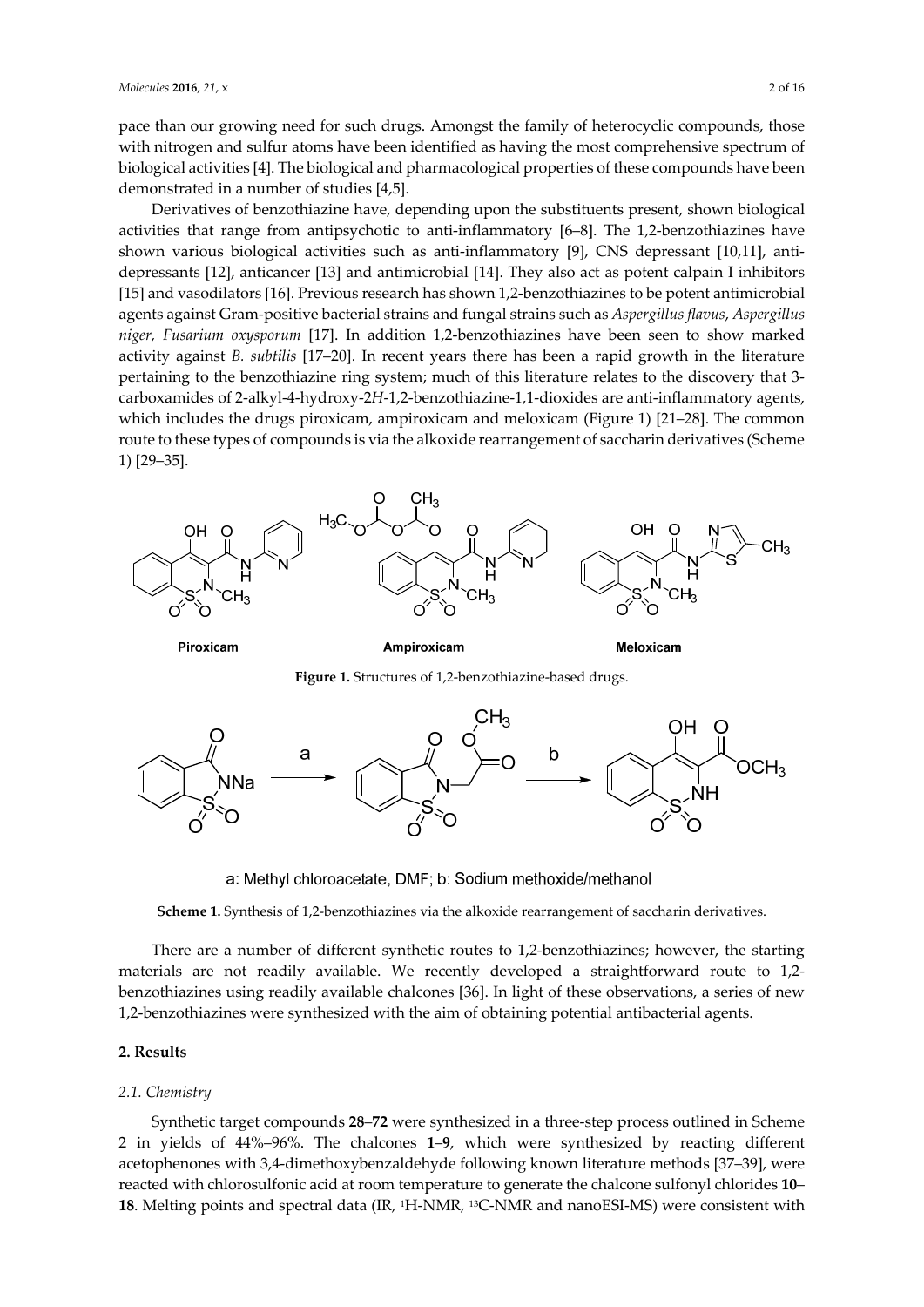pace than our growing need for such drugs. Amongst the family of heterocyclic compounds, those with nitrogen and sulfur atoms have been identified as having the most comprehensive spectrum of biological activities [4]. The biological and pharmacological properties of these compounds have been demonstrated in a number of studies [4,5].

Derivatives of benzothiazine have, depending upon the substituents present, shown biological activities that range from antipsychotic to anti-inflammatory [6–8]. The 1,2-benzothiazines have shown various biological activities such as anti-inflammatory [9], CNS depressant [10,11], antidepressants [12], anticancer [13] and antimicrobial [14]. They also act as potent calpain I inhibitors [15] and vasodilators [16]. Previous research has shown 1,2-benzothiazines to be potent antimicrobial agents against Gram-positive bacterial strains and fungal strains such as *Aspergillus flavus*, *Aspergillus niger, Fusarium oxysporum* [17]. In addition 1,2-benzothiazines have been seen to show marked activity against *B. subtilis* [17–20]. In recent years there has been a rapid growth in the literature pertaining to the benzothiazine ring system; much of this literature relates to the discovery that 3 carboxamides of 2-alkyl-4-hydroxy-2*H*-1,2-benzothiazine-1,1-dioxides are anti-inflammatory agents, which includes the drugs piroxicam, ampiroxicam and meloxicam (Figure 1) [21–28]. The common route to these types of compounds is via the alkoxide rearrangement of saccharin derivatives (Scheme 1) [29–35].



Piroxicam

Ampiroxicam

**Meloxicam** 





a: Methyl chloroacetate, DMF; b: Sodium methoxide/methanol

**Scheme 1.** Synthesis of 1,2-benzothiazines via the alkoxide rearrangement of saccharin derivatives.

There are a number of different synthetic routes to 1,2-benzothiazines; however, the starting materials are not readily available. We recently developed a straightforward route to 1,2 benzothiazines using readily available chalcones [36]. In light of these observations, a series of new 1,2-benzothiazines were synthesized with the aim of obtaining potential antibacterial agents.

#### **2. Results**

#### *2.1. Chemistry*

Synthetic target compounds **28**–**72** were synthesized in a three-step process outlined in Scheme 2 in yields of 44%–96%. The chalcones **1**–**9**, which were synthesized by reacting different acetophenones with 3,4-dimethoxybenzaldehyde following known literature methods [37–39], were reacted with chlorosulfonic acid at room temperature to generate the chalcone sulfonyl chlorides **10**– 18. Melting points and spectral data (IR, <sup>1</sup>H-NMR, <sup>13</sup>C-NMR and nanoESI-MS) were consistent with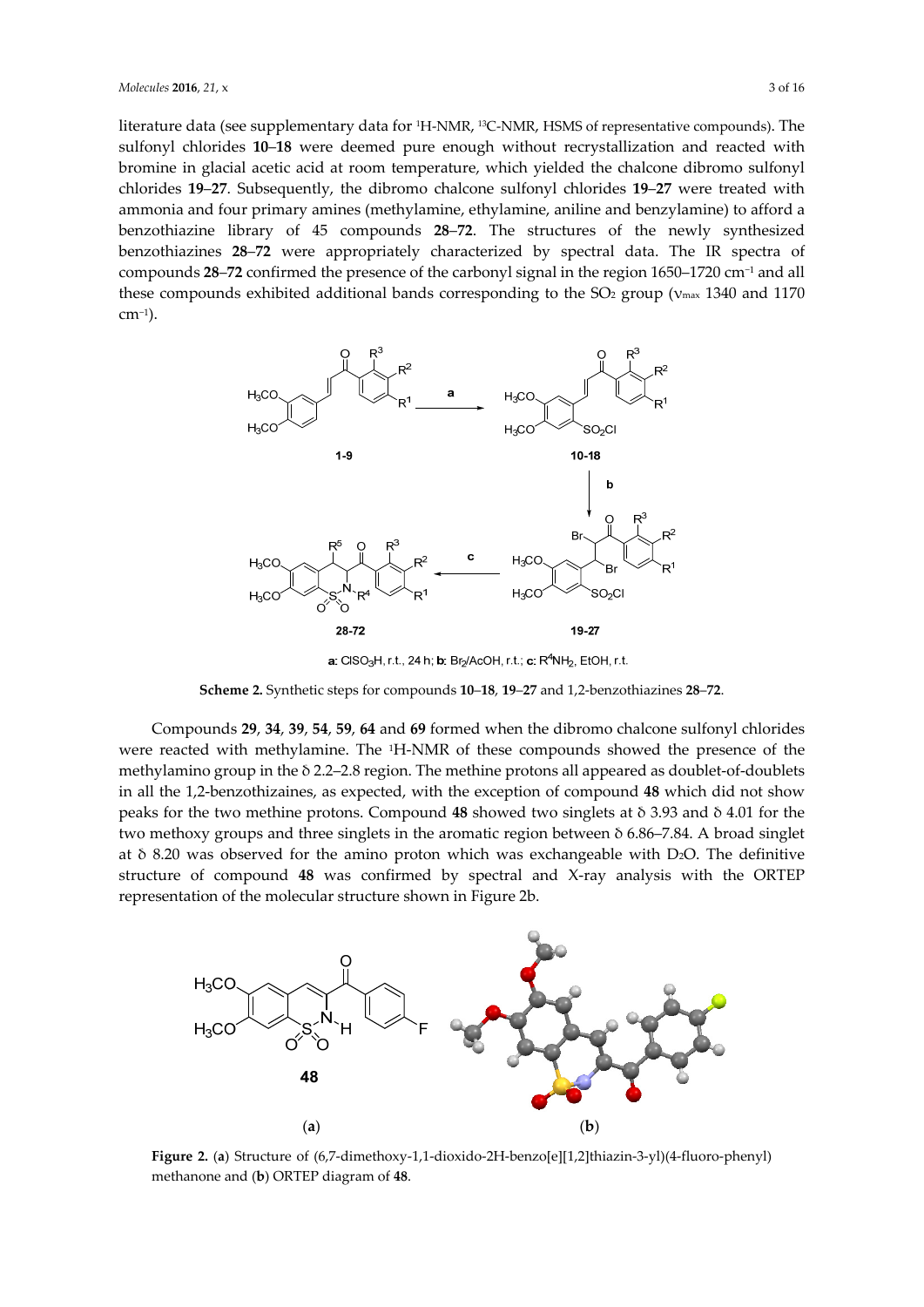literature data (see supplementary data for 1H-NMR, 13C-NMR, HSMS of representative compounds). The sulfonyl chlorides **10**–**18** were deemed pure enough without recrystallization and reacted with bromine in glacial acetic acid at room temperature, which yielded the chalcone dibromo sulfonyl chlorides **19**–**27**. Subsequently, the dibromo chalcone sulfonyl chlorides **19**–**27** were treated with ammonia and four primary amines (methylamine, ethylamine, aniline and benzylamine) to afford a benzothiazine library of 45 compounds **28**–**72**. The structures of the newly synthesized benzothiazines **28**–**72** were appropriately characterized by spectral data. The IR spectra of compounds **28**–**72** confirmed the presence of the carbonyl signal in the region 1650–1720 cm−1 and all these compounds exhibited additional bands corresponding to the SO<sub>2</sub> group ( $v_{\text{max}}$  1340 and 1170 cm−1).



**a:** CISO<sub>3</sub>H, r.t., 24 h; **b**: Br<sub>2</sub>/AcOH, r.t.; **c:** R<sup>4</sup>NH<sub>2</sub>, EtOH, r.t.

**Scheme 2.** Synthetic steps for compounds **10**–**18**, **19**–**27** and 1,2-benzothiazines **28**–**72**.

Compounds **29**, **34**, **39**, **54**, **59**, **64** and **69** formed when the dibromo chalcone sulfonyl chlorides were reacted with methylamine. The 1H-NMR of these compounds showed the presence of the methylamino group in the δ 2.2–2.8 region. The methine protons all appeared as doublet-of-doublets in all the 1,2-benzothizaines, as expected, with the exception of compound **48** which did not show peaks for the two methine protons. Compound **48** showed two singlets at δ 3.93 and δ 4.01 for the two methoxy groups and three singlets in the aromatic region between δ 6.86–7.84. A broad singlet at δ 8.20 was observed for the amino proton which was exchangeable with D2O. The definitive structure of compound **48** was confirmed by spectral and X-ray analysis with the ORTEP representation of the molecular structure shown in Figure 2b.



**Figure 2.** (**a**) Structure of (6,7-dimethoxy-1,1-dioxido-2H-benzo[e][1,2]thiazin-3-yl)(4-fluoro-phenyl) methanone and (**b**) ORTEP diagram of **48**.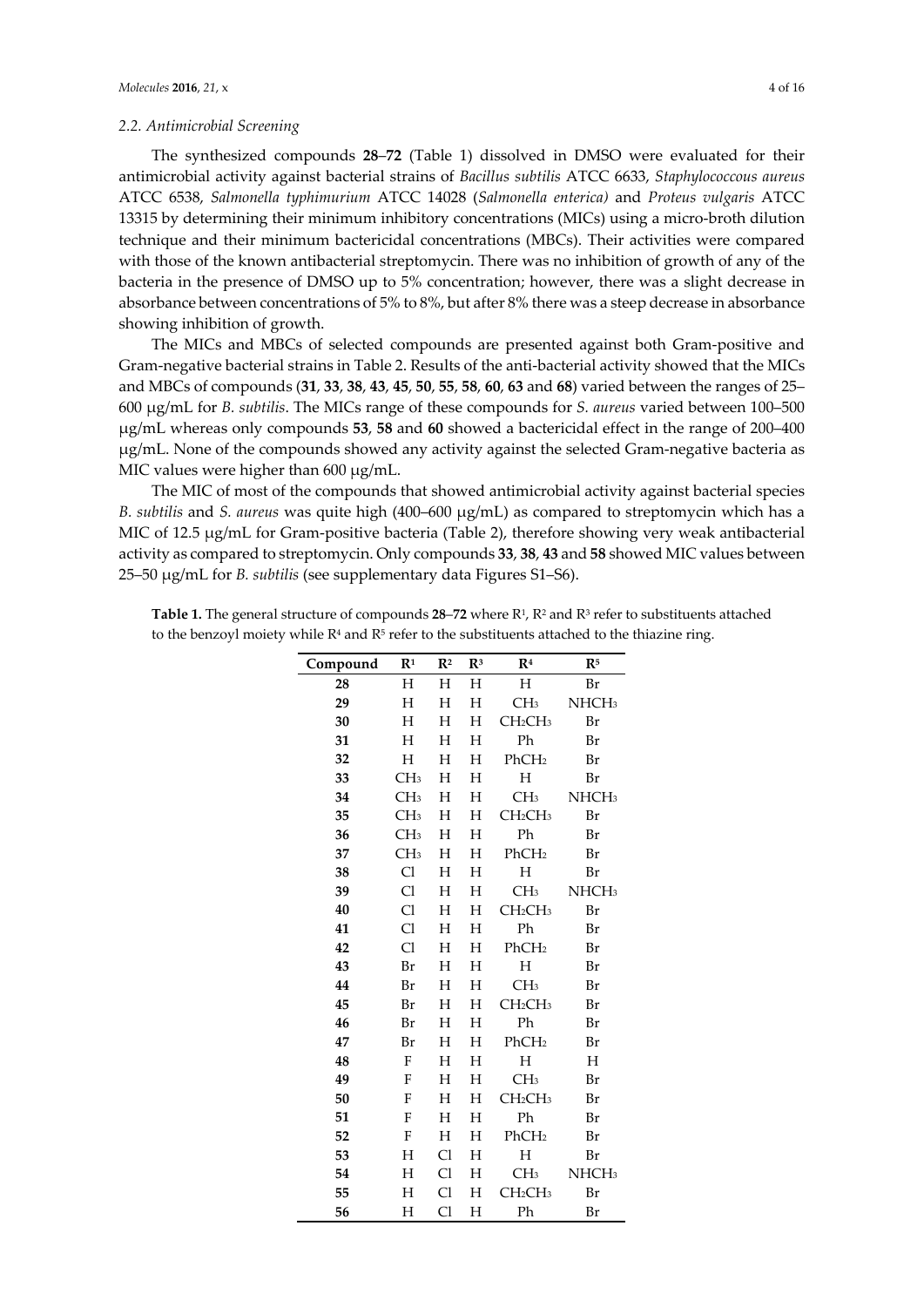#### *2.2. Antimicrobial Screening*

The synthesized compounds **28**–**72** (Table 1) dissolved in DMSO were evaluated for their antimicrobial activity against bacterial strains of *Bacillus subtilis* ATCC 6633, *Staphylococcous aureus* ATCC 6538, *Salmonella typhimurium* ATCC 14028 (*Salmonella enterica)* and *Proteus vulgaris* ATCC 13315 by determining their minimum inhibitory concentrations (MICs) using a micro-broth dilution technique and their minimum bactericidal concentrations (MBCs). Their activities were compared with those of the known antibacterial streptomycin. There was no inhibition of growth of any of the bacteria in the presence of DMSO up to 5% concentration; however, there was a slight decrease in absorbance between concentrations of 5% to 8%, but after 8% there was a steep decrease in absorbance showing inhibition of growth.

The MICs and MBCs of selected compounds are presented against both Gram-positive and Gram-negative bacterial strains in Table 2. Results of the anti-bacterial activity showed that the MICs and MBCs of compounds (**31**, **33**, **38**, **43**, **45**, **50**, **55**, **58**, **60**, **63** and **68**) varied between the ranges of 25– 600 µg/mL for *B. subtilis*. The MICs range of these compounds for *S. aureus* varied between 100–500 µg/mL whereas only compounds **53**, **58** and **60** showed a bactericidal effect in the range of 200–400 µg/mL. None of the compounds showed any activity against the selected Gram-negative bacteria as MIC values were higher than 600  $\mu$ g/mL.

The MIC of most of the compounds that showed antimicrobial activity against bacterial species *B. subtilis* and *S. aureus* was quite high (400–600 µg/mL) as compared to streptomycin which has a MIC of 12.5 µg/mL for Gram-positive bacteria (Table 2), therefore showing very weak antibacterial activity as compared to streptomycin. Only compounds **33**, **38**, **43** and **58** showed MIC values between 25–50 µg/mL for *B. subtilis* (see supplementary data Figures S1–S6).

| Compound | R <sup>1</sup>  | $\mathbb{R}^2$ | $\mathbb{R}^3$ | R <sup>4</sup>                  | R <sup>5</sup>    |  |
|----------|-----------------|----------------|----------------|---------------------------------|-------------------|--|
| 28       | Н               | Η              | Η              | Η                               | Br                |  |
| 29       | H               | Η              | Η              | CH <sub>3</sub>                 | NHCH <sub>3</sub> |  |
| 30       | Η               | Η              | Η              | CH <sub>2</sub> CH <sub>3</sub> | Br                |  |
| 31       | H               | Η              | Н              | Ph                              | Br                |  |
| 32       | Η               | Η              | Н              | PhCH <sub>2</sub>               | Br                |  |
| 33       | CH <sub>3</sub> | Η              | H              | $H_{\rm}$                       | Br                |  |
| 34       | CH <sub>3</sub> | Η              | Η              | CH <sub>3</sub>                 | NHCH <sub>3</sub> |  |
| 35       | CH <sub>3</sub> | Η              | Η              | CH <sub>2</sub> CH <sub>3</sub> | Br                |  |
| 36       | CH <sub>3</sub> | Η              | $H_{\rm}$      | Ph                              | Br                |  |
| 37       | CH <sub>3</sub> | Η              | Η              | PhCH <sub>2</sub>               | Br                |  |
| 38       | Cl              | Η              | Н              | Н                               | Br                |  |
| 39       | C <sub>1</sub>  | Η              | Η              | CH <sub>3</sub>                 | NHCH <sub>3</sub> |  |
| 40       | Cl              | Η              | Η              | CH <sub>2</sub> CH <sub>3</sub> | Br                |  |
| 41       | Cl              | Н              | Н              | Ph                              | Br                |  |
| 42       | Cl              | Η              | Η              | PhCH <sub>2</sub>               | Br                |  |
| 43       | Br              | Η              | Н              | $H_{\rm}$                       | Br                |  |
| 44       | Br              | Η              | Н              | CH <sub>3</sub>                 | Br                |  |
| 45       | Br              | Η              | Η              | CH <sub>2</sub> CH <sub>3</sub> | Br                |  |
| 46       | Br              | Η              | Η              | Ph                              | Br                |  |
| 47       | Br              | Η              | Η              | PhCH <sub>2</sub>               | Br                |  |
| 48       | F               | Н              | Н              | Н                               | H                 |  |
| 49       | F               | Η              | Η              | CH <sub>3</sub>                 | Br                |  |
| 50       | F               | Η              | Η              | CH <sub>2</sub> CH <sub>3</sub> | Br                |  |
| 51       | F               | Η              | Η              | Ph                              | Br                |  |
| 52       | F               | Η              | Η              | PhCH <sub>2</sub>               | Br                |  |
| 53       | Η               | Cl             | Η              | Η                               | Br                |  |
| 54       | Η               | C <sub>1</sub> | Η              | CH <sub>3</sub>                 | NHCH <sub>3</sub> |  |
| 55       | Η               | Cl             | Η              | CH <sub>2</sub> CH <sub>3</sub> | Br                |  |
| 56       | Н               | Cl             | Η              | Ph                              | Br                |  |

**Table 1.** The general structure of compounds  $28-72$  where  $R^1$ ,  $R^2$  and  $R^3$  refer to substituents attached to the benzoyl moiety while  $R<sup>4</sup>$  and  $R<sup>5</sup>$  refer to the substituents attached to the thiazine ring.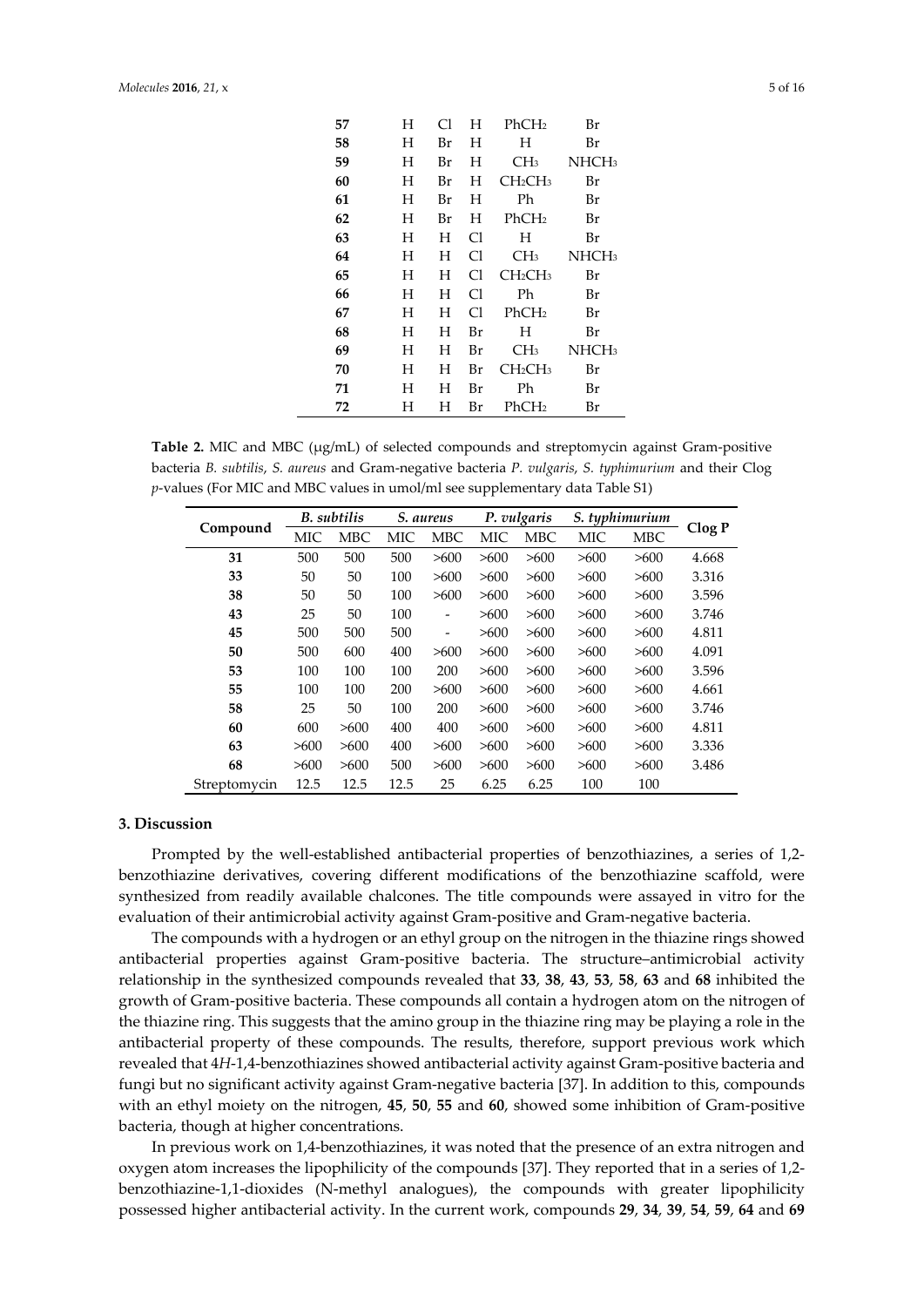| 57 | H | Cl | H  | PhCH <sub>2</sub>               | Br                |  |
|----|---|----|----|---------------------------------|-------------------|--|
|    |   |    |    |                                 |                   |  |
| 58 | H | Br | H  | H                               | Br                |  |
| 59 | H | Br | H  | CH <sub>3</sub>                 | NHCH <sub>3</sub> |  |
| 60 | H | Br | H  | CH <sub>2</sub> CH <sub>3</sub> | Br                |  |
| 61 | H | Br | H  | Ph                              | Br                |  |
| 62 | H | Br | H  | PhCH <sub>2</sub>               | Br                |  |
| 63 | H | H  | C1 | H                               | Br                |  |
| 64 | H | H  | Cl | CH <sub>3</sub>                 | NHCH <sub>3</sub> |  |
| 65 | H | H  | Сl | CH <sub>2</sub> CH <sub>3</sub> | Br                |  |
| 66 | H | H  | Cl | Ph                              | Br                |  |
| 67 | H | H  | Cl | PhCH <sub>2</sub>               | Br                |  |
| 68 | H | H  | Br | H                               | Br                |  |
| 69 | H | H  | Br | CH <sub>3</sub>                 | NHCH <sub>3</sub> |  |
| 70 | H | H  | Br | CH <sub>2</sub> CH <sub>3</sub> | Br                |  |
| 71 | H | H  | Br | Ph                              | Br                |  |
| 72 | H | H  | Br | PhCH <sub>2</sub>               | Br                |  |

Table 2. MIC and MBC ( $\mu$ g/mL) of selected compounds and streptomycin against Gram-positive bacteria *B. subtilis*, *S. aureus* and Gram-negative bacteria *P. vulgaris*, *S. typhimurium* and their Clog *p*-values (For MIC and MBC values in umol/ml see supplementary data Table S1)

| Compound     | <b>B.</b> subtilis |            | S. aureus  |            | P. vulgaris |            | S. typhimurium |            |        |
|--------------|--------------------|------------|------------|------------|-------------|------------|----------------|------------|--------|
|              | MIC                | <b>MBC</b> | <b>MIC</b> | <b>MBC</b> | MIC         | <b>MBC</b> | МIС            | <b>MBC</b> | Clog P |
| 31           | 500                | 500        | 500        | >600       | >600        | >600       | >600           | >600       | 4.668  |
| 33           | 50                 | 50         | 100        | >600       | >600        | >600       | >600           | >600       | 3.316  |
| 38           | 50                 | 50         | 100        | >600       | >600        | >600       | >600           | >600       | 3.596  |
| 43           | 25                 | 50         | 100        |            | >600        | >600       | >600           | >600       | 3.746  |
| 45           | 500                | 500        | 500        | -          | >600        | >600       | >600           | >600       | 4.811  |
| 50           | 500                | 600        | 400        | >600       | >600        | >600       | >600           | >600       | 4.091  |
| 53           | 100                | 100        | 100        | 200        | >600        | >600       | >600           | >600       | 3.596  |
| 55           | 100                | 100        | 200        | >600       | >600        | >600       | >600           | >600       | 4.661  |
| 58           | 25                 | 50         | 100        | 200        | >600        | >600       | >600           | >600       | 3.746  |
| 60           | 600                | >600       | 400        | 400        | >600        | >600       | >600           | >600       | 4.811  |
| 63           | >600               | >600       | 400        | >600       | >600        | >600       | >600           | >600       | 3.336  |
| 68           | >600               | >600       | 500        | >600       | >600        | >600       | >600           | >600       | 3.486  |
| Streptomycin | 12.5               | 12.5       | 12.5       | 25         | 6.25        | 6.25       | 100            | 100        |        |

#### **3. Discussion**

Prompted by the well-established antibacterial properties of benzothiazines, a series of 1,2 benzothiazine derivatives, covering different modifications of the benzothiazine scaffold, were synthesized from readily available chalcones. The title compounds were assayed in vitro for the evaluation of their antimicrobial activity against Gram-positive and Gram-negative bacteria.

The compounds with a hydrogen or an ethyl group on the nitrogen in the thiazine rings showed antibacterial properties against Gram-positive bacteria. The structure–antimicrobial activity relationship in the synthesized compounds revealed that **33**, **38**, **43**, **53**, **58**, **63** and **68** inhibited the growth of Gram-positive bacteria. These compounds all contain a hydrogen atom on the nitrogen of the thiazine ring. This suggests that the amino group in the thiazine ring may be playing a role in the antibacterial property of these compounds. The results, therefore, support previous work which revealed that 4*H*-1,4-benzothiazines showed antibacterial activity against Gram-positive bacteria and fungi but no significant activity against Gram-negative bacteria [37]. In addition to this, compounds with an ethyl moiety on the nitrogen, **45**, **50**, **55** and **60**, showed some inhibition of Gram-positive bacteria, though at higher concentrations.

In previous work on 1,4-benzothiazines, it was noted that the presence of an extra nitrogen and oxygen atom increases the lipophilicity of the compounds [37]. They reported that in a series of 1,2 benzothiazine-1,1-dioxides (N-methyl analogues), the compounds with greater lipophilicity possessed higher antibacterial activity. In the current work, compounds **29**, **34**, **39**, **54**, **59**, **64** and **69**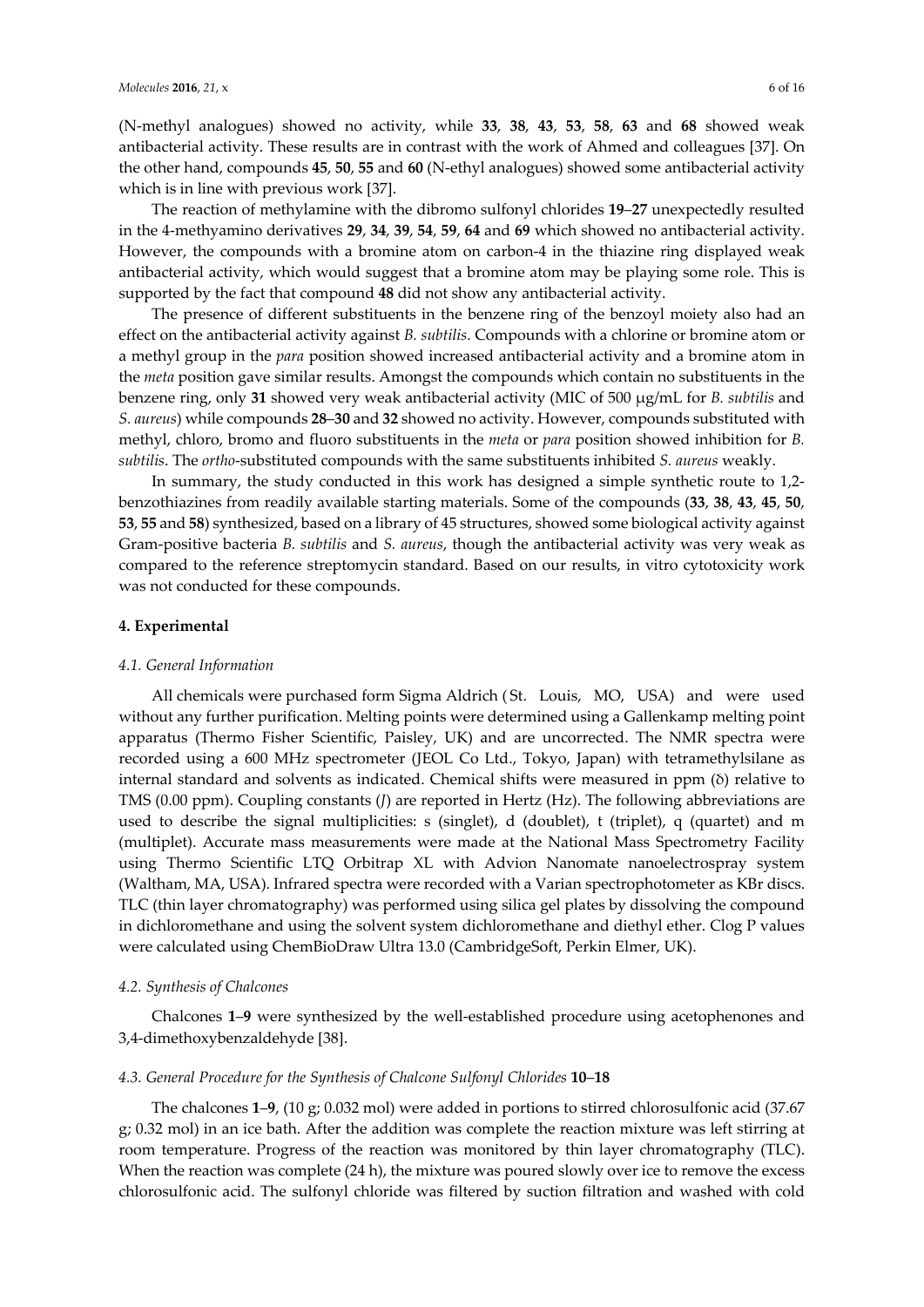(N-methyl analogues) showed no activity, while **33**, **38**, **43**, **53**, **58**, **63** and **68** showed weak antibacterial activity. These results are in contrast with the work of Ahmed and colleagues [37]. On the other hand, compounds **45**, **50**, **55** and **60** (N-ethyl analogues) showed some antibacterial activity which is in line with previous work [37].

The reaction of methylamine with the dibromo sulfonyl chlorides **19**–**27** unexpectedly resulted in the 4-methyamino derivatives **29**, **34**, **39**, **54**, **59**, **64** and **69** which showed no antibacterial activity. However, the compounds with a bromine atom on carbon-4 in the thiazine ring displayed weak antibacterial activity, which would suggest that a bromine atom may be playing some role. This is supported by the fact that compound **48** did not show any antibacterial activity.

The presence of different substituents in the benzene ring of the benzoyl moiety also had an effect on the antibacterial activity against *B. subtilis*. Compounds with a chlorine or bromine atom or a methyl group in the *para* position showed increased antibacterial activity and a bromine atom in the *meta* position gave similar results. Amongst the compounds which contain no substituents in the benzene ring, only **31** showed very weak antibacterial activity (MIC of 500 µg/mL for *B. subtilis* and *S. aureus*) while compounds **28**–**30** and **32** showed no activity. However, compounds substituted with methyl, chloro, bromo and fluoro substituents in the *meta* or *para* position showed inhibition for *B. subtilis*. The *ortho*-substituted compounds with the same substituents inhibited *S. aureus* weakly.

In summary, the study conducted in this work has designed a simple synthetic route to 1,2 benzothiazines from readily available starting materials. Some of the compounds (**33**, **38**, **43**, **45**, **50**, **53**, **55** and **58**) synthesized, based on a library of 45 structures, showed some biological activity against Gram-positive bacteria *B. subtilis* and *S. aureus*, though the antibacterial activity was very weak as compared to the reference streptomycin standard. Based on our results, in vitro cytotoxicity work was not conducted for these compounds.

#### **4. Experimental**

#### *4.1. General Information*

All chemicals were purchased form Sigma Aldrich ( St. Louis, MO, USA) and were used without any further purification. Melting points were determined using a Gallenkamp melting point apparatus (Thermo Fisher Scientific, Paisley, UK) and are uncorrected. The NMR spectra were recorded using a 600 MHz spectrometer (JEOL Co Ltd., Tokyo, Japan) with tetramethylsilane as internal standard and solvents as indicated. Chemical shifts were measured in ppm (δ) relative to TMS (0.00 ppm). Coupling constants (*Ј*) are reported in Hertz (Hz). The following abbreviations are used to describe the signal multiplicities: s (singlet), d (doublet), t (triplet), q (quartet) and m (multiplet). Accurate mass measurements were made at the National Mass Spectrometry Facility using Thermo Scientific LTQ Orbitrap XL with Advion Nanomate nanoelectrospray system (Waltham, MA, USA). Infrared spectra were recorded with a Varian spectrophotometer as KBr discs. TLC (thin layer chromatography) was performed using silica gel plates by dissolving the compound in dichloromethane and using the solvent system dichloromethane and diethyl ether. Clog P values were calculated using ChemBioDraw Ultra 13.0 (CambridgeSoft, Perkin Elmer, UK).

#### *4.2. Synthesis of Chalcones*

Chalcones **1**–**9** were synthesized by the well-established procedure using acetophenones and 3,4-dimethoxybenzaldehyde [38].

#### *4.3. General Procedure for the Synthesis of Chalcone Sulfonyl Chlorides* **10**–**18**

The chalcones **1**–**9**, (10 g; 0.032 mol) were added in portions to stirred chlorosulfonic acid (37.67 g; 0.32 mol) in an ice bath. After the addition was complete the reaction mixture was left stirring at room temperature. Progress of the reaction was monitored by thin layer chromatography (TLC). When the reaction was complete (24 h), the mixture was poured slowly over ice to remove the excess chlorosulfonic acid. The sulfonyl chloride was filtered by suction filtration and washed with cold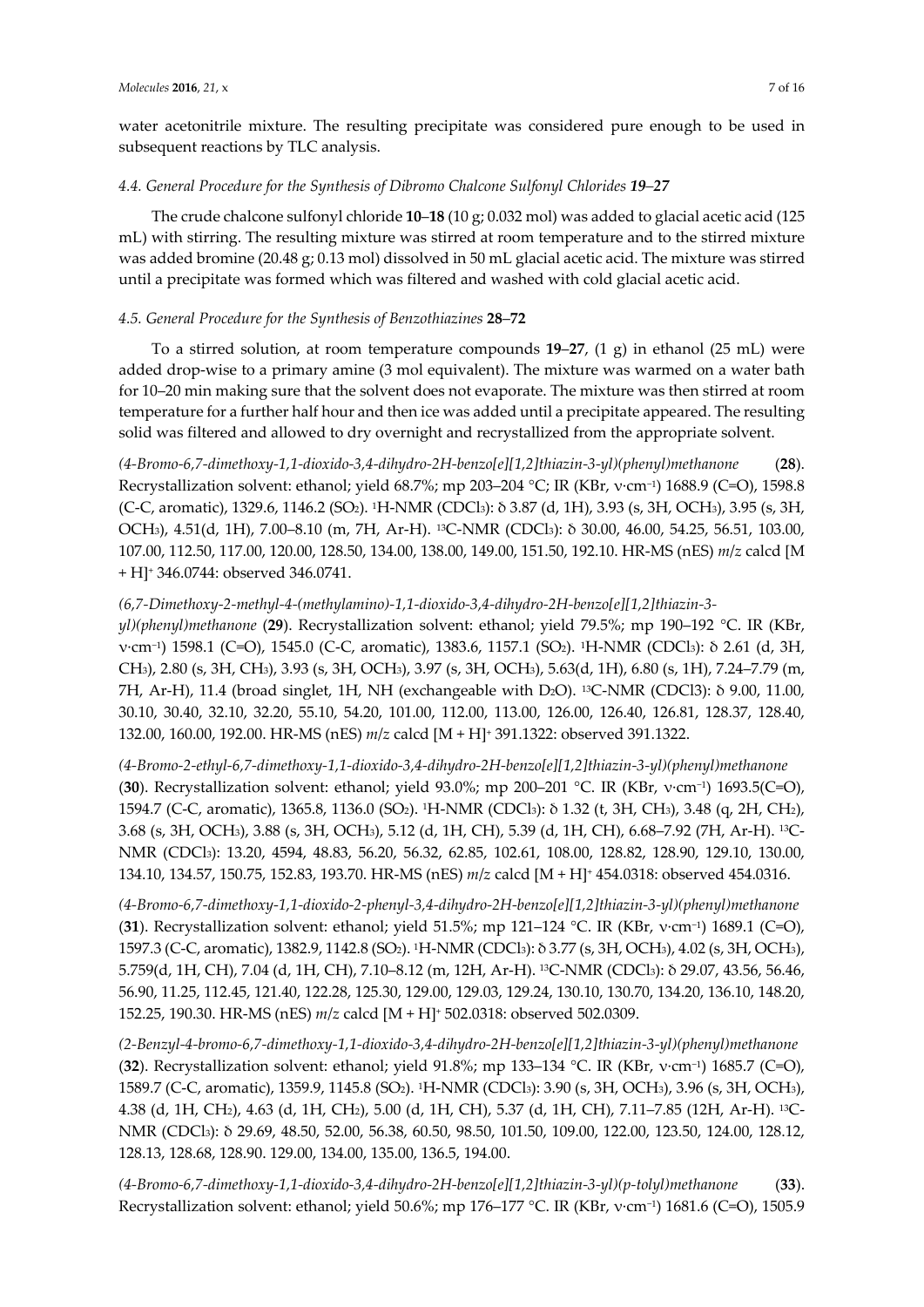water acetonitrile mixture. The resulting precipitate was considered pure enough to be used in subsequent reactions by TLC analysis.

#### *4.4. General Procedure for the Synthesis of Dibromo Chalcone Sulfonyl Chlorides 19–27*

The crude chalcone sulfonyl chloride **10**–**18** (10 g; 0.032 mol) was added to glacial acetic acid (125 mL) with stirring. The resulting mixture was stirred at room temperature and to the stirred mixture was added bromine (20.48 g; 0.13 mol) dissolved in 50 mL glacial acetic acid. The mixture was stirred until a precipitate was formed which was filtered and washed with cold glacial acetic acid.

#### *4.5. General Procedure for the Synthesis of Benzothiazines* **28**–**72**

To a stirred solution, at room temperature compounds **19**–**27**, (1 g) in ethanol (25 mL) were added drop-wise to a primary amine (3 mol equivalent). The mixture was warmed on a water bath for 10–20 min making sure that the solvent does not evaporate. The mixture was then stirred at room temperature for a further half hour and then ice was added until a precipitate appeared. The resulting solid was filtered and allowed to dry overnight and recrystallized from the appropriate solvent.

*(4-Bromo-6,7-dimethoxy-1,1-dioxido-3,4-dihydro-2H-benzo[e][1,2]thiazin-3-yl)(phenyl)methanone* (**28**). Recrystallization solvent: ethanol; yield 68.7%; mp 203–204 °C; IR (KBr, v·cm<sup>-1</sup>) 1688.9 (C=O), 1598.8 (C-C, aromatic), 1329.6, 1146.2 (SO2). 1H-NMR (CDCl3): δ 3.87 (d, 1H), 3.93 (s, 3H, OCH3), 3.95 (s, 3H, OCH3), 4.51(d, 1H), 7.00–8.10 (m, 7H, Ar-H). 13C-NMR (CDCl3): δ 30.00, 46.00, 54.25, 56.51, 103.00, 107.00, 112.50, 117.00, 120.00, 128.50, 134.00, 138.00, 149.00, 151.50, 192.10. HR-MS (nES) *m*/*z* calcd [M + H]+ 346.0744: observed 346.0741.

*(6,7-Dimethoxy-2-methyl-4-(methylamino)-1,1-dioxido-3,4-dihydro-2H-benzo[e][1,2]thiazin-3 yl)(phenyl)methanone* (**29**). Recrystallization solvent: ethanol; yield 79.5%; mp 190–192 °C. IR (KBr, ν·cm−1) 1598.1 (C=O), 1545.0 (C-C, aromatic), 1383.6, 1157.1 (SO2). 1H-NMR (CDCl3): δ 2.61 (d, 3H, CH3), 2.80 (s, 3H, CH3), 3.93 (s, 3H, OCH3), 3.97 (s, 3H, OCH3), 5.63(d, 1H), 6.80 (s, 1H), 7.24–7.79 (m, 7H, Ar-H), 11.4 (broad singlet, 1H, NH (exchangeable with D2O). 13C-NMR (CDCl3): δ 9.00, 11.00, 30.10, 30.40, 32.10, 32.20, 55.10, 54.20, 101.00, 112.00, 113.00, 126.00, 126.40, 126.81, 128.37, 128.40, 132.00, 160.00, 192.00. HR-MS (nES) *m*/*z* calcd [M + H]+ 391.1322: observed 391.1322.

*(4-Bromo-2-ethyl-6,7-dimethoxy-1,1-dioxido-3,4-dihydro-2H-benzo[e][1,2]thiazin-3-yl)(phenyl)methanone* (**30**). Recrystallization solvent: ethanol; yield 93.0%; mp 200–201 °C. IR (KBr, ν·cm−1) 1693.5(C=O), 1594.7 (C-C, aromatic), 1365.8, 1136.0 (SO2). 1H-NMR (CDCl3): δ 1.32 (t, 3H, CH3), 3.48 (q, 2H, CH2), 3.68 (s, 3H, OCH3), 3.88 (s, 3H, OCH3), 5.12 (d, 1H, CH), 5.39 (d, 1H, CH), 6.68–7.92 (7H, Ar-H). 13C-NMR (CDCl3): 13.20, 4594, 48.83, 56.20, 56.32, 62.85, 102.61, 108.00, 128.82, 128.90, 129.10, 130.00, 134.10, 134.57, 150.75, 152.83, 193.70. HR-MS (nES) *m*/*z* calcd [M + H]+ 454.0318: observed 454.0316.

*(4-Bromo-6,7-dimethoxy-1,1-dioxido-2-phenyl-3,4-dihydro-2H-benzo[e][1,2]thiazin-3-yl)(phenyl)methanone* (**31**). Recrystallization solvent: ethanol; yield 51.5%; mp 121–124 °C. IR (KBr, v·cm<sup>-1</sup>) 1689.1 (C=O), 1597.3 (C-C, aromatic), 1382.9, 1142.8 (SO2). 1H-NMR (CDCl3): δ 3.77 (s, 3H, OCH3), 4.02 (s, 3H, OCH3), 5.759(d, 1H, CH), 7.04 (d, 1H, CH), 7.10–8.12 (m, 12H, Ar-H). 13C-NMR (CDCl3): δ 29.07, 43.56, 56.46, 56.90, 11.25, 112.45, 121.40, 122.28, 125.30, 129.00, 129.03, 129.24, 130.10, 130.70, 134.20, 136.10, 148.20, 152.25, 190.30. HR-MS (nES) *m*/*z* calcd [M + H]+ 502.0318: observed 502.0309.

*(2-Benzyl-4-bromo-6,7-dimethoxy-1,1-dioxido-3,4-dihydro-2H-benzo[e][1,2]thiazin-3-yl)(phenyl)methanone* (**32**). Recrystallization solvent: ethanol; yield 91.8%; mp 133–134 °C. IR (KBr, ν·cm−1) 1685.7 (C=O), 1589.7 (C-C, aromatic), 1359.9, 1145.8 (SO2). 1H-NMR (CDCl3): 3.90 (s, 3H, OCH3), 3.96 (s, 3H, OCH3), 4.38 (d, 1H, CH2), 4.63 (d, 1H, CH2), 5.00 (d, 1H, CH), 5.37 (d, 1H, CH), 7.11–7.85 (12H, Ar-H). 13C-NMR (CDCl3): δ 29.69, 48.50, 52.00, 56.38, 60.50, 98.50, 101.50, 109.00, 122.00, 123.50, 124.00, 128.12, 128.13, 128.68, 128.90. 129.00, 134.00, 135.00, 136.5, 194.00.

*(4-Bromo-6,7-dimethoxy-1,1-dioxido-3,4-dihydro-2H-benzo[e][1,2]thiazin-3-yl)(p-tolyl)methanone* (**33**). Recrystallization solvent: ethanol; yield 50.6%; mp 176–177 °C. IR (KBr, v·cm<sup>-1</sup>) 1681.6 (C=O), 1505.9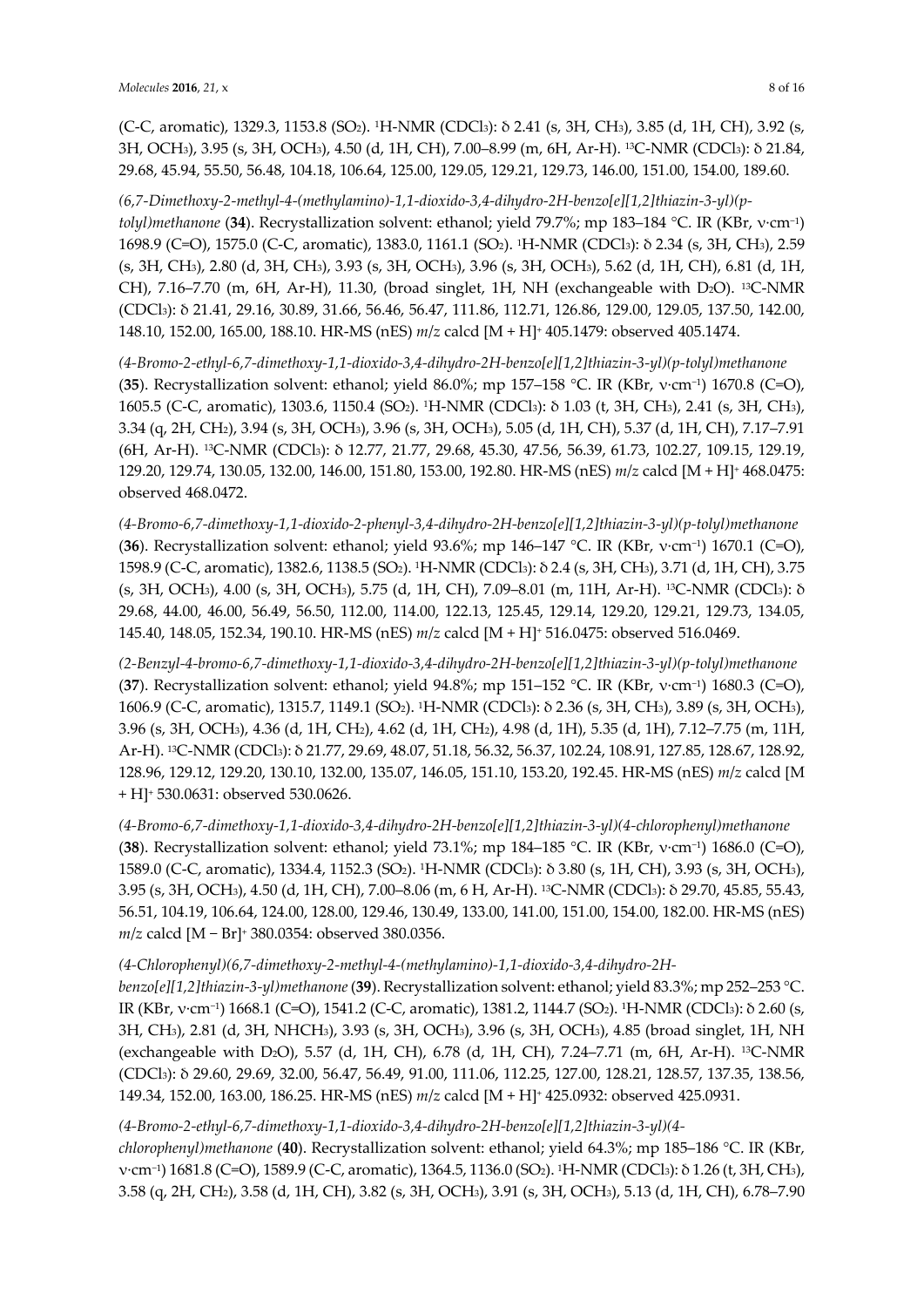(C-C, aromatic), 1329.3, 1153.8 (SO2). 1H-NMR (CDCl3): δ 2.41 (s, 3H, CH3), 3.85 (d, 1H, CH), 3.92 (s, 3H, OCH3), 3.95 (s, 3H, OCH3), 4.50 (d, 1H, CH), 7.00–8.99 (m, 6H, Ar-H). 13C-NMR (CDCl3): δ 21.84, 29.68, 45.94, 55.50, 56.48, 104.18, 106.64, 125.00, 129.05, 129.21, 129.73, 146.00, 151.00, 154.00, 189.60.

*(6,7-Dimethoxy-2-methyl-4-(methylamino)-1,1-dioxido-3,4-dihydro-2H-benzo[e][1,2]thiazin-3-yl)(ptolyl)methanone* (**34**). Recrystallization solvent: ethanol; yield 79.7%; mp 183–184 °C. IR (KBr, ν·cm−1) 1698.9 (C=O), 1575.0 (C-C, aromatic), 1383.0, 1161.1 (SO2). 1H-NMR (CDCl3): δ 2.34 (s, 3H, CH3), 2.59 (s, 3H, CH3), 2.80 (d, 3H, CH3), 3.93 (s, 3H, OCH3), 3.96 (s, 3H, OCH3), 5.62 (d, 1H, CH), 6.81 (d, 1H, CH), 7.16–7.70 (m, 6H, Ar-H), 11.30, (broad singlet, 1H, NH (exchangeable with D<sub>2</sub>O). <sup>13</sup>C-NMR (CDCl3): δ 21.41, 29.16, 30.89, 31.66, 56.46, 56.47, 111.86, 112.71, 126.86, 129.00, 129.05, 137.50, 142.00, 148.10, 152.00, 165.00, 188.10. HR-MS (nES) *m*/*z* calcd [M + H]+ 405.1479: observed 405.1474.

*(4-Bromo-2-ethyl-6,7-dimethoxy-1,1-dioxido-3,4-dihydro-2H-benzo[e][1,2]thiazin-3-yl)(p-tolyl)methanone* (**35**). Recrystallization solvent: ethanol; yield 86.0%; mp 157–158 °C. IR (KBr, ν·cm−1) 1670.8 (C=O), 1605.5 (C-C, aromatic), 1303.6, 1150.4 (SO2). 1H-NMR (CDCl3): δ 1.03 (t, 3H, CH3), 2.41 (s, 3H, CH3), 3.34 (q, 2H, CH2), 3.94 (s, 3H, OCH3), 3.96 (s, 3H, OCH3), 5.05 (d, 1H, CH), 5.37 (d, 1H, CH), 7.17–7.91 (6H, Ar-H). 13C-NMR (CDCl3): δ 12.77, 21.77, 29.68, 45.30, 47.56, 56.39, 61.73, 102.27, 109.15, 129.19, 129.20, 129.74, 130.05, 132.00, 146.00, 151.80, 153.00, 192.80. HR-MS (nES) *m*/*z* calcd [M + H]+ 468.0475: observed 468.0472.

*(4-Bromo-6,7-dimethoxy-1,1-dioxido-2-phenyl-3,4-dihydro-2H-benzo[e][1,2]thiazin-3-yl)(p-tolyl)methanone* (**36**). Recrystallization solvent: ethanol; yield 93.6%; mp 146–147 °C. IR (KBr, ν·cm−1) 1670.1 (C=O), 1598.9 (C-C, aromatic), 1382.6, 1138.5 (SO2). 1H-NMR (CDCl3): δ 2.4 (s, 3H, CH3), 3.71 (d, 1H, CH), 3.75 (s, 3H, OCH3), 4.00 (s, 3H, OCH3), 5.75 (d, 1H, CH), 7.09–8.01 (m, 11H, Ar-H). 13C-NMR (CDCl3): δ 29.68, 44.00, 46.00, 56.49, 56.50, 112.00, 114.00, 122.13, 125.45, 129.14, 129.20, 129.21, 129.73, 134.05, 145.40, 148.05, 152.34, 190.10. HR-MS (nES) *m*/*z* calcd [M + H]+ 516.0475: observed 516.0469.

*(2-Benzyl-4-bromo-6,7-dimethoxy-1,1-dioxido-3,4-dihydro-2H-benzo[e][1,2]thiazin-3-yl)(p-tolyl)methanone* (**37**). Recrystallization solvent: ethanol; yield 94.8%; mp 151–152 °C. IR (KBr, v·cm<sup>-1</sup>) 1680.3 (C=O), 1606.9 (C-C, aromatic), 1315.7, 1149.1 (SO2). 1H-NMR (CDCl3): δ 2.36 (s, 3H, CH3), 3.89 (s, 3H, OCH3), 3.96 (s, 3H, OCH3), 4.36 (d, 1H, CH2), 4.62 (d, 1H, CH2), 4.98 (d, 1H), 5.35 (d, 1H), 7.12–7.75 (m, 11H, Ar-H). 13C-NMR (CDCl3): δ 21.77, 29.69, 48.07, 51.18, 56.32, 56.37, 102.24, 108.91, 127.85, 128.67, 128.92, 128.96, 129.12, 129.20, 130.10, 132.00, 135.07, 146.05, 151.10, 153.20, 192.45. HR-MS (nES) *m*/*z* calcd [M + H]+ 530.0631: observed 530.0626.

*(4-Bromo-6,7-dimethoxy-1,1-dioxido-3,4-dihydro-2H-benzo[e][1,2]thiazin-3-yl)(4-chlorophenyl)methanone* (**38**). Recrystallization solvent: ethanol; yield 73.1%; mp 184–185 °C. IR (KBr, ν·cm−1) 1686.0 (C=O), 1589.0 (C-C, aromatic), 1334.4, 1152.3 (SO2). 1H-NMR (CDCl3): δ 3.80 (s, 1H, CH), 3.93 (s, 3H, OCH3), 3.95 (s, 3H, OCH3), 4.50 (d, 1H, CH), 7.00–8.06 (m, 6 H, Ar-H). 13C-NMR (CDCl3): δ 29.70, 45.85, 55.43, 56.51, 104.19, 106.64, 124.00, 128.00, 129.46, 130.49, 133.00, 141.00, 151.00, 154.00, 182.00. HR-MS (nES) *m/z* calcd [M − Br]<sup>+</sup> 380.0354: observed 380.0356.

## *(4-Chlorophenyl)(6,7-dimethoxy-2-methyl-4-(methylamino)-1,1-dioxido-3,4-dihydro-2H-*

*benzo[e][1,2]thiazin-3-yl)methanone* (**39**). Recrystallization solvent: ethanol; yield 83.3%; mp 252–253 °C. IR (KBr, ν·cm−1) 1668.1 (C=O), 1541.2 (C-C, aromatic), 1381.2, 1144.7 (SO2). 1H-NMR (CDCl3): δ 2.60 (s, 3H, CH3), 2.81 (d, 3H, NHCH3), 3.93 (s, 3H, OCH3), 3.96 (s, 3H, OCH3), 4.85 (broad singlet, 1H, NH (exchangeable with D2O), 5.57 (d, 1H, CH), 6.78 (d, 1H, CH), 7.24–7.71 (m, 6H, Ar-H). 13C-NMR (CDCl3): δ 29.60, 29.69, 32.00, 56.47, 56.49, 91.00, 111.06, 112.25, 127.00, 128.21, 128.57, 137.35, 138.56, 149.34, 152.00, 163.00, 186.25. HR-MS (nES) *m*/*z* calcd [M + H]+ 425.0932: observed 425.0931.

# *(4-Bromo-2-ethyl-6,7-dimethoxy-1,1-dioxido-3,4-dihydro-2H-benzo[e][1,2]thiazin-3-yl)(4-*

*chlorophenyl)methanone* (**40**). Recrystallization solvent: ethanol; yield 64.3%; mp 185–186 °C. IR (KBr, ν·cm−1) 1681.8 (C=O), 1589.9 (C-C, aromatic), 1364.5, 1136.0 (SO2). 1H-NMR (CDCl3): δ 1.26 (t, 3H, CH3), 3.58 (q, 2H, CH2), 3.58 (d, 1H, CH), 3.82 (s, 3H, OCH3), 3.91 (s, 3H, OCH3), 5.13 (d, 1H, CH), 6.78–7.90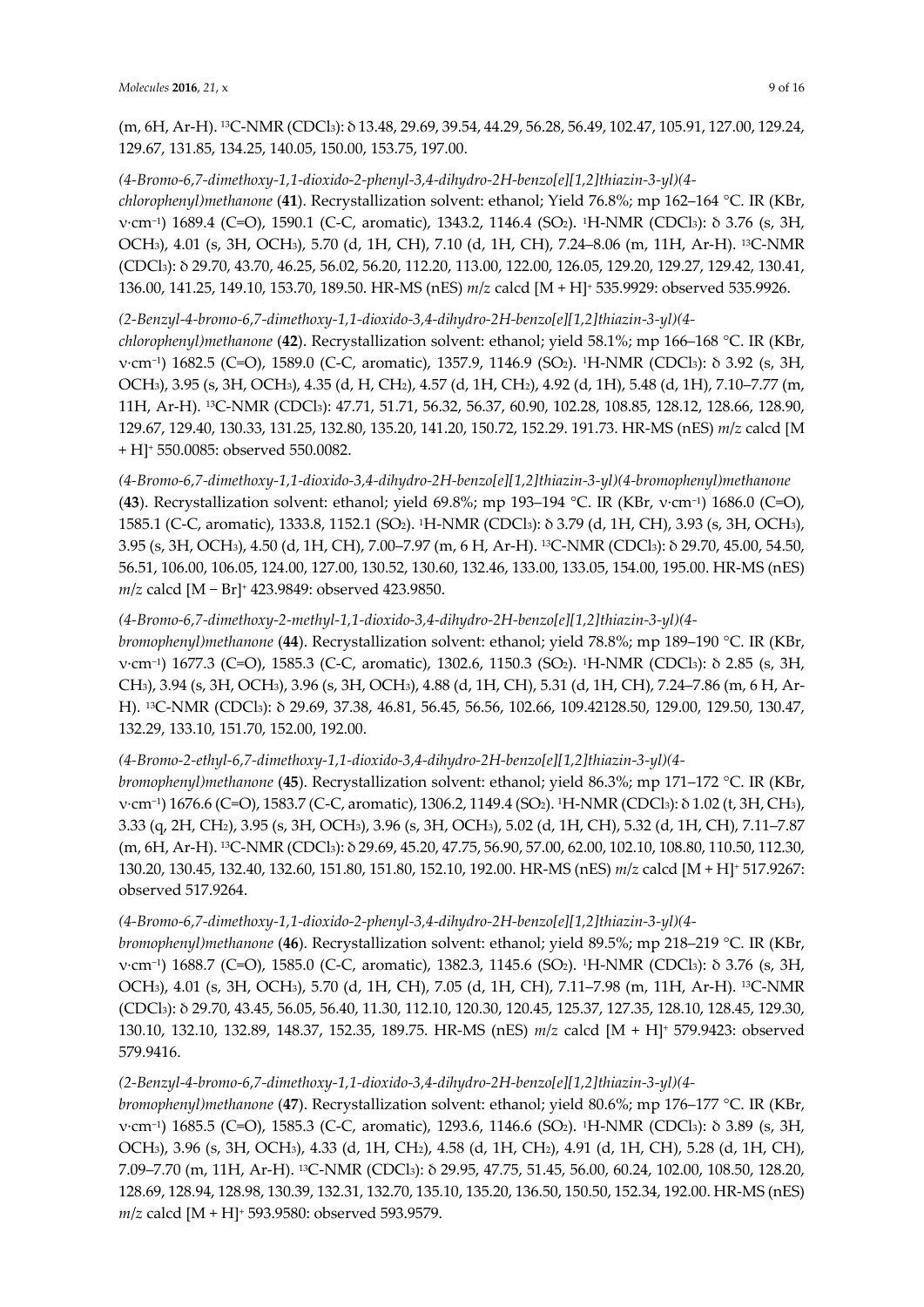(m, 6H, Ar-H). 13C-NMR (CDCl3): δ 13.48, 29.69, 39.54, 44.29, 56.28, 56.49, 102.47, 105.91, 127.00, 129.24, 129.67, 131.85, 134.25, 140.05, 150.00, 153.75, 197.00.

# *(4-Bromo-6,7-dimethoxy-1,1-dioxido-2-phenyl-3,4-dihydro-2H-benzo[e][1,2]thiazin-3-yl)(4-*

*chlorophenyl)methanone* (**41**). Recrystallization solvent: ethanol; Yield 76.8%; mp 162–164 °C. IR (KBr, ν·cm−1) 1689.4 (C=O), 1590.1 (C-C, aromatic), 1343.2, 1146.4 (SO2). 1H-NMR (CDCl3): δ 3.76 (s, 3H, OCH3), 4.01 (s, 3H, OCH3), 5.70 (d, 1H, CH), 7.10 (d, 1H, CH), 7.24–8.06 (m, 11H, Ar-H). 13C-NMR (CDCl3): δ 29.70, 43.70, 46.25, 56.02, 56.20, 112.20, 113.00, 122.00, 126.05, 129.20, 129.27, 129.42, 130.41, 136.00, 141.25, 149.10, 153.70, 189.50. HR-MS (nES) *m*/*z* calcd [M + H]+ 535.9929: observed 535.9926.

# *(2-Benzyl-4-bromo-6,7-dimethoxy-1,1-dioxido-3,4-dihydro-2H-benzo[e][1,2]thiazin-3-yl)(4-*

*chlorophenyl)methanone* (**42**). Recrystallization solvent: ethanol; yield 58.1%; mp 166–168 °C. IR (KBr, ν·cm−1) 1682.5 (C=O), 1589.0 (C-C, aromatic), 1357.9, 1146.9 (SO2). 1H-NMR (CDCl3): δ 3.92 (s, 3H, OCH3), 3.95 (s, 3H, OCH3), 4.35 (d, H, CH2), 4.57 (d, 1H, CH2), 4.92 (d, 1H), 5.48 (d, 1H), 7.10–7.77 (m, 11H, Ar-H). 13C-NMR (CDCl3): 47.71, 51.71, 56.32, 56.37, 60.90, 102.28, 108.85, 128.12, 128.66, 128.90, 129.67, 129.40, 130.33, 131.25, 132.80, 135.20, 141.20, 150.72, 152.29. 191.73. HR-MS (nES) *m*/*z* calcd [M + H]+ 550.0085: observed 550.0082.

*(4-Bromo-6,7-dimethoxy-1,1-dioxido-3,4-dihydro-2H-benzo[e][1,2]thiazin-3-yl)(4-bromophenyl)methanone* (**43**). Recrystallization solvent: ethanol; yield 69.8%; mp 193–194 °C. IR (KBr, ν·cm−1) 1686.0 (C=O), 1585.1 (C-C, aromatic), 1333.8, 1152.1 (SO2). 1H-NMR (CDCl3): δ 3.79 (d, 1H, CH), 3.93 (s, 3H, OCH3), 3.95 (s, 3H, OCH3), 4.50 (d, 1H, CH), 7.00–7.97 (m, 6 H, Ar-H). 13C-NMR (CDCl3): δ 29.70, 45.00, 54.50, 56.51, 106.00, 106.05, 124.00, 127.00, 130.52, 130.60, 132.46, 133.00, 133.05, 154.00, 195.00. HR-MS (nES) *m*/*z* calcd [M − Br]+ 423.9849: observed 423.9850.

# *(4-Bromo-6,7-dimethoxy-2-methyl-1,1-dioxido-3,4-dihydro-2H-benzo[e][1,2]thiazin-3-yl)(4-*

*bromophenyl)methanone* (**44**). Recrystallization solvent: ethanol; yield 78.8%; mp 189–190 °C. IR (KBr, ν·cm−1) 1677.3 (C=O), 1585.3 (C-C, aromatic), 1302.6, 1150.3 (SO2). 1H-NMR (CDCl3): δ 2.85 (s, 3H, CH3), 3.94 (s, 3H, OCH3), 3.96 (s, 3H, OCH3), 4.88 (d, 1H, CH), 5.31 (d, 1H, CH), 7.24–7.86 (m, 6 H, Ar-H). 13C-NMR (CDCl3): δ 29.69, 37.38, 46.81, 56.45, 56.56, 102.66, 109.42128.50, 129.00, 129.50, 130.47, 132.29, 133.10, 151.70, 152.00, 192.00.

# *(4-Bromo-2-ethyl-6,7-dimethoxy-1,1-dioxido-3,4-dihydro-2H-benzo[e][1,2]thiazin-3-yl)(4-*

*bromophenyl)methanone* (**45**). Recrystallization solvent: ethanol; yield 86.3%; mp 171–172 °C. IR (KBr, ν·cm−1) 1676.6 (C=O), 1583.7 (C-C, aromatic), 1306.2, 1149.4 (SO2). 1H-NMR (CDCl3): δ 1.02 (t, 3H, CH3), 3.33 (q, 2H, CH2), 3.95 (s, 3H, OCH3), 3.96 (s, 3H, OCH3), 5.02 (d, 1H, CH), 5.32 (d, 1H, CH), 7.11–7.87 (m, 6H, Ar-H). 13C-NMR (CDCl3): δ 29.69, 45.20, 47.75, 56.90, 57.00, 62.00, 102.10, 108.80, 110.50, 112.30, 130.20, 130.45, 132.40, 132.60, 151.80, 151.80, 152.10, 192.00. HR-MS (nES) *m*/*z* calcd [M + H]+ 517.9267: observed 517.9264.

# *(4-Bromo-6,7-dimethoxy-1,1-dioxido-2-phenyl-3,4-dihydro-2H-benzo[e][1,2]thiazin-3-yl)(4-*

*bromophenyl)methanone* (**46**). Recrystallization solvent: ethanol; yield 89.5%; mp 218–219 °C. IR (KBr, ν·cm−1) 1688.7 (C=O), 1585.0 (C-C, aromatic), 1382.3, 1145.6 (SO2). 1H-NMR (CDCl3): δ 3.76 (s, 3H, OCH3), 4.01 (s, 3H, OCH3), 5.70 (d, 1H, CH), 7.05 (d, 1H, CH), 7.11–7.98 (m, 11H, Ar-H). 13C-NMR (CDCl3): δ 29.70, 43.45, 56.05, 56.40, 11.30, 112.10, 120.30, 120.45, 125.37, 127.35, 128.10, 128.45, 129.30, 130.10, 132.10, 132.89, 148.37, 152.35, 189.75. HR-MS (nES) *m*/*z* calcd [M + H]+ 579.9423: observed 579.9416.

# *(2-Benzyl-4-bromo-6,7-dimethoxy-1,1-dioxido-3,4-dihydro-2H-benzo[e][1,2]thiazin-3-yl)(4-*

*bromophenyl)methanone* (**47**). Recrystallization solvent: ethanol; yield 80.6%; mp 176–177 °C. IR (KBr, ν·cm−1) 1685.5 (C=O), 1585.3 (C-C, aromatic), 1293.6, 1146.6 (SO2). 1H-NMR (CDCl3): δ 3.89 (s, 3H, OCH3), 3.96 (s, 3H, OCH3), 4.33 (d, 1H, CH2), 4.58 (d, 1H, CH2), 4.91 (d, 1H, CH), 5.28 (d, 1H, CH), 7.09–7.70 (m, 11H, Ar-H). 13C-NMR (CDCl3): δ 29.95, 47.75, 51.45, 56.00, 60.24, 102.00, 108.50, 128.20, 128.69, 128.94, 128.98, 130.39, 132.31, 132.70, 135.10, 135.20, 136.50, 150.50, 152.34, 192.00. HR-MS (nES) *m*/*z* calcd [M + H]+ 593.9580: observed 593.9579.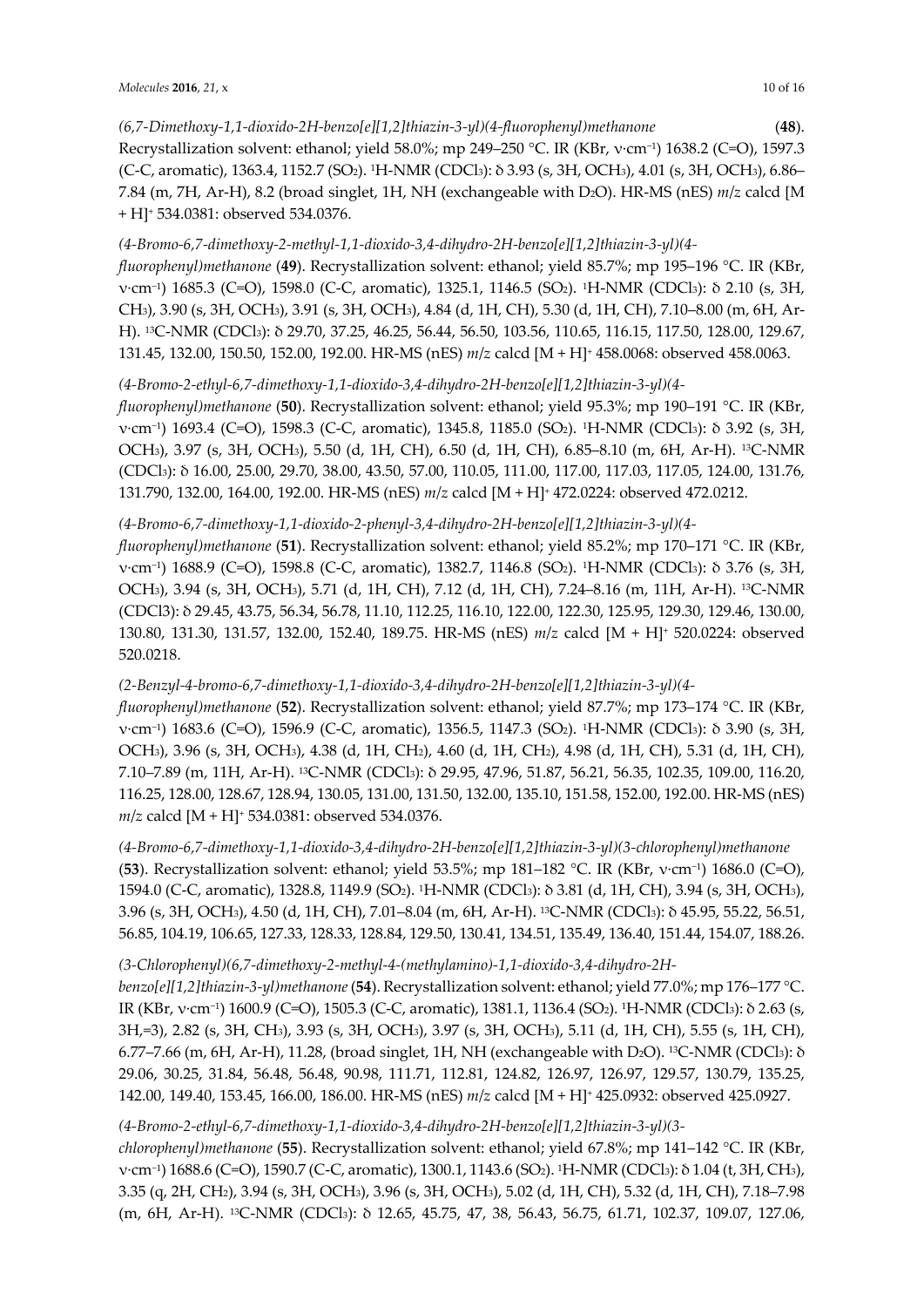*(6,7-Dimethoxy-1,1-dioxido-2H-benzo[e][1,2]thiazin-3-yl)(4-fluorophenyl)methanone* (**48**). Recrystallization solvent: ethanol; yield 58.0%; mp 249–250 °C. IR (KBr, v·cm<sup>-1</sup>) 1638.2 (C=O), 1597.3 (C-C, aromatic), 1363.4, 1152.7 (SO2). 1H-NMR (CDCl3): δ 3.93 (s, 3H, OCH3), 4.01 (s, 3H, OCH3), 6.86– 7.84 (m, 7H, Ar-H), 8.2 (broad singlet, 1H, NH (exchangeable with D2O). HR-MS (nES) *m*/*z* calcd [M + H]+ 534.0381: observed 534.0376.

# *(4-Bromo-6,7-dimethoxy-2-methyl-1,1-dioxido-3,4-dihydro-2H-benzo[e][1,2]thiazin-3-yl)(4-*

*fluorophenyl)methanone* (**49**). Recrystallization solvent: ethanol; yield 85.7%; mp 195–196 °C. IR (KBr, ν·cm−1) 1685.3 (C=O), 1598.0 (C-C, aromatic), 1325.1, 1146.5 (SO2). 1H-NMR (CDCl3): δ 2.10 (s, 3H, CH3), 3.90 (s, 3H, OCH3), 3.91 (s, 3H, OCH3), 4.84 (d, 1H, CH), 5.30 (d, 1H, CH), 7.10–8.00 (m, 6H, Ar-H). 13C-NMR (CDCl3): δ 29.70, 37.25, 46.25, 56.44, 56.50, 103.56, 110.65, 116.15, 117.50, 128.00, 129.67, 131.45, 132.00, 150.50, 152.00, 192.00. HR-MS (nES) *m*/*z* calcd [M + H]+ 458.0068: observed 458.0063.

## *(4-Bromo-2-ethyl-6,7-dimethoxy-1,1-dioxido-3,4-dihydro-2H-benzo[e][1,2]thiazin-3-yl)(4-*

*fluorophenyl)methanone* (**50**). Recrystallization solvent: ethanol; yield 95.3%; mp 190–191 °C. IR (KBr, ν·cm−1) 1693.4 (C=O), 1598.3 (C-C, aromatic), 1345.8, 1185.0 (SO2). 1H-NMR (CDCl3): δ 3.92 (s, 3H, OCH3), 3.97 (s, 3H, OCH3), 5.50 (d, 1H, CH), 6.50 (d, 1H, CH), 6.85–8.10 (m, 6H, Ar-H). 13C-NMR (CDCl3): δ 16.00, 25.00, 29.70, 38.00, 43.50, 57.00, 110.05, 111.00, 117.00, 117.03, 117.05, 124.00, 131.76, 131.790, 132.00, 164.00, 192.00. HR-MS (nES) *m*/*z* calcd [M + H]+ 472.0224: observed 472.0212.

## *(4-Bromo-6,7-dimethoxy-1,1-dioxido-2-phenyl-3,4-dihydro-2H-benzo[e][1,2]thiazin-3-yl)(4-*

*fluorophenyl)methanone* (**51**). Recrystallization solvent: ethanol; yield 85.2%; mp 170–171 °C. IR (KBr, ν·cm−1) 1688.9 (C=O), 1598.8 (C-C, aromatic), 1382.7, 1146.8 (SO2). 1H-NMR (CDCl3): δ 3.76 (s, 3H, OCH3), 3.94 (s, 3H, OCH3), 5.71 (d, 1H, CH), 7.12 (d, 1H, CH), 7.24–8.16 (m, 11H, Ar-H). 13C-NMR (CDCl3): δ 29.45, 43.75, 56.34, 56.78, 11.10, 112.25, 116.10, 122.00, 122.30, 125.95, 129.30, 129.46, 130.00, 130.80, 131.30, 131.57, 132.00, 152.40, 189.75. HR-MS (nES) *m*/*z* calcd [M + H]+ 520.0224: observed 520.0218.

## *(2-Benzyl-4-bromo-6,7-dimethoxy-1,1-dioxido-3,4-dihydro-2H-benzo[e][1,2]thiazin-3-yl)(4-*

*fluorophenyl)methanone* (**52**). Recrystallization solvent: ethanol; yield 87.7%; mp 173–174 °C. IR (KBr, ν·cm−1) 1683.6 (C=O), 1596.9 (C-C, aromatic), 1356.5, 1147.3 (SO2). 1H-NMR (CDCl3): δ 3.90 (s, 3H, OCH3), 3.96 (s, 3H, OCH3), 4.38 (d, 1H, CH2), 4.60 (d, 1H, CH2), 4.98 (d, 1H, CH), 5.31 (d, 1H, CH), 7.10–7.89 (m, 11H, Ar-H). 13C-NMR (CDCl3): δ 29.95, 47.96, 51.87, 56.21, 56.35, 102.35, 109.00, 116.20, 116.25, 128.00, 128.67, 128.94, 130.05, 131.00, 131.50, 132.00, 135.10, 151.58, 152.00, 192.00. HR-MS (nES) *m*/*z* calcd [M + H]+ 534.0381: observed 534.0376.

*(4-Bromo-6,7-dimethoxy-1,1-dioxido-3,4-dihydro-2H-benzo[e][1,2]thiazin-3-yl)(3-chlorophenyl)methanone* (**53**). Recrystallization solvent: ethanol; yield 53.5%; mp 181–182 °C. IR (KBr, ν·cm−1) 1686.0 (C=O), 1594.0 (C-C, aromatic), 1328.8, 1149.9 (SO2). 1H-NMR (CDCl3): δ 3.81 (d, 1H, CH), 3.94 (s, 3H, OCH3), 3.96 (s, 3H, OCH3), 4.50 (d, 1H, CH), 7.01–8.04 (m, 6H, Ar-H). 13C-NMR (CDCl3): δ 45.95, 55.22, 56.51, 56.85, 104.19, 106.65, 127.33, 128.33, 128.84, 129.50, 130.41, 134.51, 135.49, 136.40, 151.44, 154.07, 188.26.

## *(3-Chlorophenyl)(6,7-dimethoxy-2-methyl-4-(methylamino)-1,1-dioxido-3,4-dihydro-2H-*

*benzo[e][1,2]thiazin-3-yl)methanone* (**54**). Recrystallization solvent: ethanol; yield 77.0%; mp 176–177 °C. IR (KBr, ν·cm−1) 1600.9 (C=O), 1505.3 (C-C, aromatic), 1381.1, 1136.4 (SO2). 1H-NMR (CDCl3): δ 2.63 (s, 3H,=3), 2.82 (s, 3H, CH3), 3.93 (s, 3H, OCH3), 3.97 (s, 3H, OCH3), 5.11 (d, 1H, CH), 5.55 (s, 1H, CH), 6.77–7.66 (m, 6H, Ar-H), 11.28, (broad singlet, 1H, NH (exchangeable with D2O). 13C-NMR (CDCl3): δ 29.06, 30.25, 31.84, 56.48, 56.48, 90.98, 111.71, 112.81, 124.82, 126.97, 126.97, 129.57, 130.79, 135.25, 142.00, 149.40, 153.45, 166.00, 186.00. HR-MS (nES) *m*/*z* calcd [M + H]+ 425.0932: observed 425.0927.

## *(4-Bromo-2-ethyl-6,7-dimethoxy-1,1-dioxido-3,4-dihydro-2H-benzo[e][1,2]thiazin-3-yl)(3-*

*chlorophenyl)methanone* (**55**). Recrystallization solvent: ethanol; yield 67.8%; mp 141–142 °C. IR (KBr, ν·cm−1) 1688.6 (C=O), 1590.7 (C-C, aromatic), 1300.1, 1143.6 (SO2). 1H-NMR (CDCl3): δ 1.04 (t, 3H, CH3), 3.35 (q, 2H, CH2), 3.94 (s, 3H, OCH3), 3.96 (s, 3H, OCH3), 5.02 (d, 1H, CH), 5.32 (d, 1H, CH), 7.18–7.98 (m, 6H, Ar-H). 13C-NMR (CDCl3): δ 12.65, 45.75, 47, 38, 56.43, 56.75, 61.71, 102.37, 109.07, 127.06,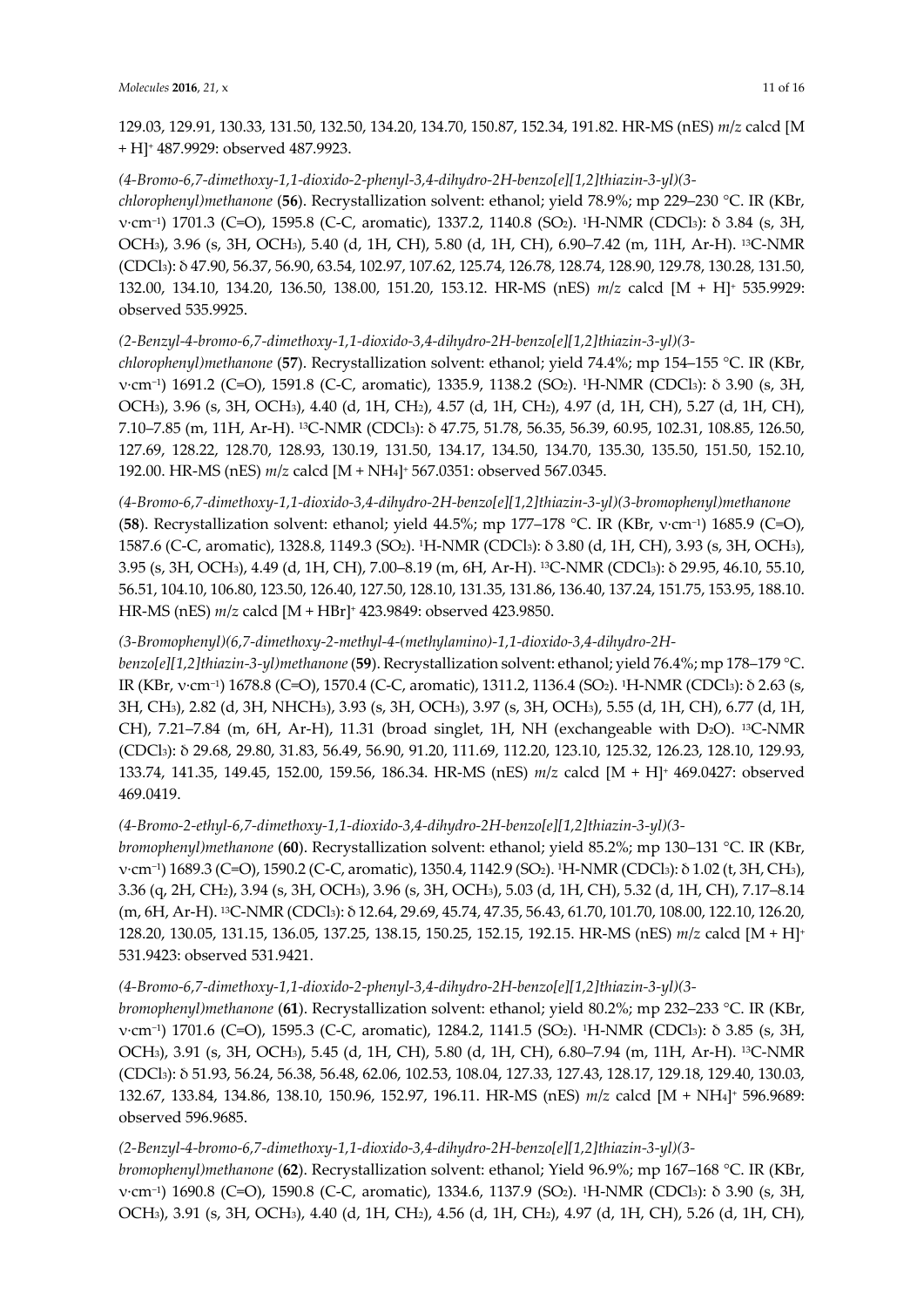129.03, 129.91, 130.33, 131.50, 132.50, 134.20, 134.70, 150.87, 152.34, 191.82. HR-MS (nES) *m*/*z* calcd [M + H]+ 487.9929: observed 487.9923.

#### *(4-Bromo-6,7-dimethoxy-1,1-dioxido-2-phenyl-3,4-dihydro-2H-benzo[e][1,2]thiazin-3-yl)(3-*

*chlorophenyl)methanone* (**56**). Recrystallization solvent: ethanol; yield 78.9%; mp 229–230 °C. IR (KBr, ν·cm−1) 1701.3 (C=O), 1595.8 (C-C, aromatic), 1337.2, 1140.8 (SO2). 1H-NMR (CDCl3): δ 3.84 (s, 3H, OCH3), 3.96 (s, 3H, OCH3), 5.40 (d, 1H, CH), 5.80 (d, 1H, CH), 6.90–7.42 (m, 11H, Ar-H). 13C-NMR (CDCl3): δ 47.90, 56.37, 56.90, 63.54, 102.97, 107.62, 125.74, 126.78, 128.74, 128.90, 129.78, 130.28, 131.50, 132.00, 134.10, 134.20, 136.50, 138.00, 151.20, 153.12. HR-MS (nES) *m*/*z* calcd [M + H]+ 535.9929: observed 535.9925.

## *(2-Benzyl-4-bromo-6,7-dimethoxy-1,1-dioxido-3,4-dihydro-2H-benzo[e][1,2]thiazin-3-yl)(3-*

*chlorophenyl)methanone* (**57**). Recrystallization solvent: ethanol; yield 74.4%; mp 154–155 °C. IR (KBr, ν·cm−1) 1691.2 (C=O), 1591.8 (C-C, aromatic), 1335.9, 1138.2 (SO2). 1H-NMR (CDCl3): δ 3.90 (s, 3H, OCH3), 3.96 (s, 3H, OCH3), 4.40 (d, 1H, CH2), 4.57 (d, 1H, CH2), 4.97 (d, 1H, CH), 5.27 (d, 1H, CH), 7.10–7.85 (m, 11H, Ar-H). 13C-NMR (CDCl3): δ 47.75, 51.78, 56.35, 56.39, 60.95, 102.31, 108.85, 126.50, 127.69, 128.22, 128.70, 128.93, 130.19, 131.50, 134.17, 134.50, 134.70, 135.30, 135.50, 151.50, 152.10, 192.00. HR-MS (nES) *m*/*z* calcd [M + NH4]+ 567.0351: observed 567.0345.

*(4-Bromo-6,7-dimethoxy-1,1-dioxido-3,4-dihydro-2H-benzo[e][1,2]thiazin-3-yl)(3-bromophenyl)methanone* (**58**). Recrystallization solvent: ethanol; yield 44.5%; mp 177–178 °C. IR (KBr, ν·cm−1) 1685.9 (C=O), 1587.6 (C-C, aromatic), 1328.8, 1149.3 (SO2). 1H-NMR (CDCl3): δ 3.80 (d, 1H, CH), 3.93 (s, 3H, OCH3), 3.95 (s, 3H, OCH3), 4.49 (d, 1H, CH), 7.00–8.19 (m, 6H, Ar-H). 13C-NMR (CDCl3): δ 29.95, 46.10, 55.10, 56.51, 104.10, 106.80, 123.50, 126.40, 127.50, 128.10, 131.35, 131.86, 136.40, 137.24, 151.75, 153.95, 188.10. HR-MS (nES) *m*/*z* calcd [M + HBr]+ 423.9849: observed 423.9850.

# *(3-Bromophenyl)(6,7-dimethoxy-2-methyl-4-(methylamino)-1,1-dioxido-3,4-dihydro-2H-*

*benzo[e][1,2]thiazin-3-yl)methanone* (**59**). Recrystallization solvent: ethanol; yield 76.4%; mp 178–179 °C. IR (KBr, ν·cm−1) 1678.8 (C=O), 1570.4 (C-C, aromatic), 1311.2, 1136.4 (SO2). 1H-NMR (CDCl3): δ 2.63 (s, 3H, CH3), 2.82 (d, 3H, NHCH3), 3.93 (s, 3H, OCH3), 3.97 (s, 3H, OCH3), 5.55 (d, 1H, CH), 6.77 (d, 1H, CH), 7.21–7.84 (m, 6H, Ar-H), 11.31 (broad singlet, 1H, NH (exchangeable with D<sub>2</sub>O). <sup>13</sup>C-NMR (CDCl3): δ 29.68, 29.80, 31.83, 56.49, 56.90, 91.20, 111.69, 112.20, 123.10, 125.32, 126.23, 128.10, 129.93, 133.74, 141.35, 149.45, 152.00, 159.56, 186.34. HR-MS (nES) *m*/*z* calcd [M + H]+ 469.0427: observed 469.0419.

## *(4-Bromo-2-ethyl-6,7-dimethoxy-1,1-dioxido-3,4-dihydro-2H-benzo[e][1,2]thiazin-3-yl)(3-*

*bromophenyl)methanone* (**60**). Recrystallization solvent: ethanol; yield 85.2%; mp 130–131 °C. IR (KBr, ν·cm−1) 1689.3 (C=O), 1590.2 (C-C, aromatic), 1350.4, 1142.9 (SO2). 1H-NMR (CDCl3): δ 1.02 (t, 3H, CH3), 3.36 (q, 2H, CH2), 3.94 (s, 3H, OCH3), 3.96 (s, 3H, OCH3), 5.03 (d, 1H, CH), 5.32 (d, 1H, CH), 7.17–8.14 (m, 6H, Ar-H). 13C-NMR (CDCl3): δ 12.64, 29.69, 45.74, 47.35, 56.43, 61.70, 101.70, 108.00, 122.10, 126.20, 128.20, 130.05, 131.15, 136.05, 137.25, 138.15, 150.25, 152.15, 192.15. HR-MS (nES) *m*/*z* calcd [M + H]+ 531.9423: observed 531.9421.

## *(4-Bromo-6,7-dimethoxy-1,1-dioxido-2-phenyl-3,4-dihydro-2H-benzo[e][1,2]thiazin-3-yl)(3-*

*bromophenyl)methanone* (**61**). Recrystallization solvent: ethanol; yield 80.2%; mp 232–233 °C. IR (KBr, ν·cm−1) 1701.6 (C=O), 1595.3 (C-C, aromatic), 1284.2, 1141.5 (SO2). 1H-NMR (CDCl3): δ 3.85 (s, 3H, OCH3), 3.91 (s, 3H, OCH3), 5.45 (d, 1H, CH), 5.80 (d, 1H, CH), 6.80–7.94 (m, 11H, Ar-H). 13C-NMR (CDCl3): δ 51.93, 56.24, 56.38, 56.48, 62.06, 102.53, 108.04, 127.33, 127.43, 128.17, 129.18, 129.40, 130.03, 132.67, 133.84, 134.86, 138.10, 150.96, 152.97, 196.11. HR-MS (nES) *m*/*z* calcd [M + NH4]+ 596.9689: observed 596.9685.

## *(2-Benzyl-4-bromo-6,7-dimethoxy-1,1-dioxido-3,4-dihydro-2H-benzo[e][1,2]thiazin-3-yl)(3-*

*bromophenyl)methanone* (**62**). Recrystallization solvent: ethanol; Yield 96.9%; mp 167–168 °C. IR (KBr, ν·cm−1) 1690.8 (C=O), 1590.8 (C-C, aromatic), 1334.6, 1137.9 (SO2). 1H-NMR (CDCl3): δ 3.90 (s, 3H, OCH3), 3.91 (s, 3H, OCH3), 4.40 (d, 1H, CH2), 4.56 (d, 1H, CH2), 4.97 (d, 1H, CH), 5.26 (d, 1H, CH),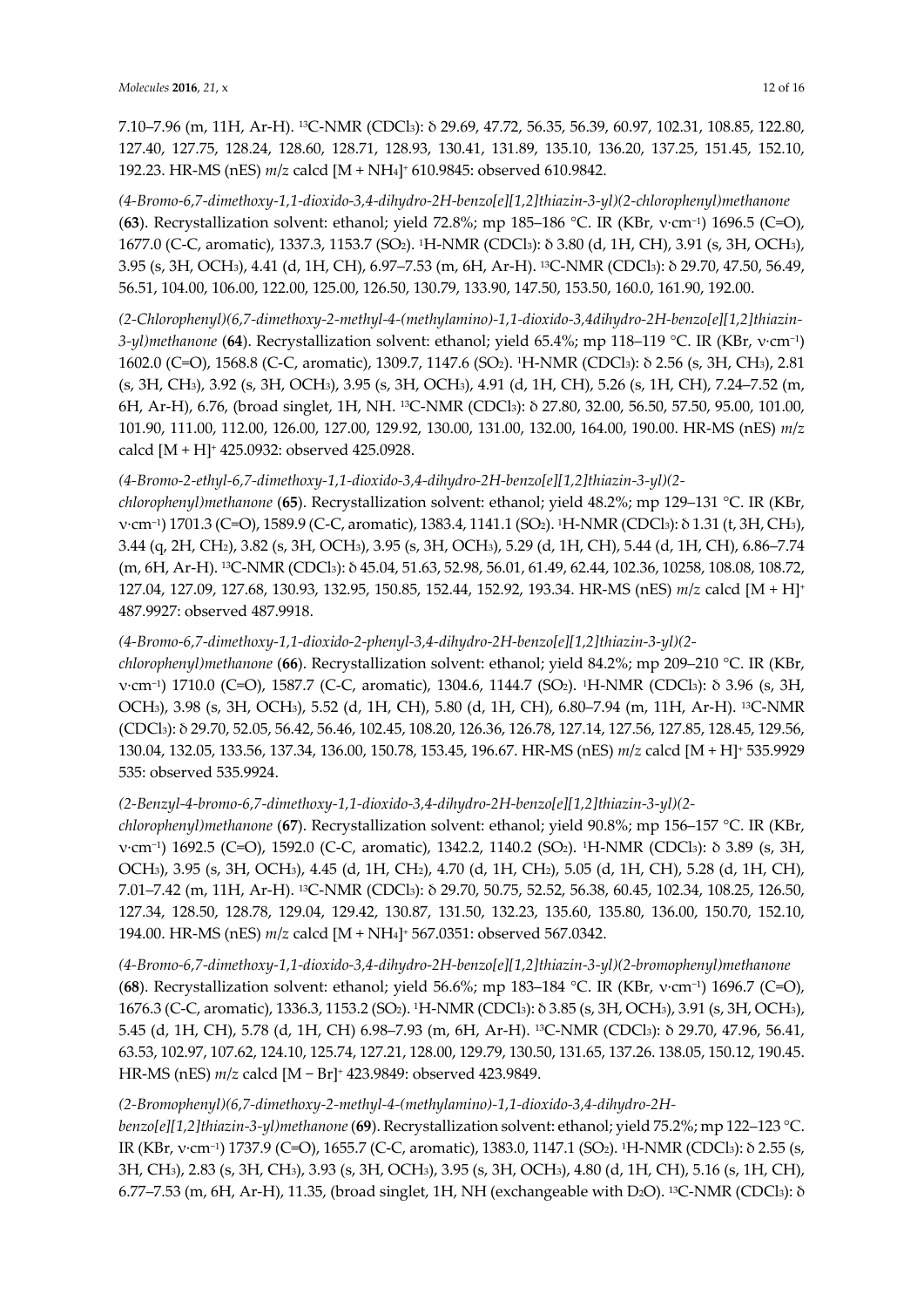7.10–7.96 (m, 11H, Ar-H). 13C-NMR (CDCl3): δ 29.69, 47.72, 56.35, 56.39, 60.97, 102.31, 108.85, 122.80, 127.40, 127.75, 128.24, 128.60, 128.71, 128.93, 130.41, 131.89, 135.10, 136.20, 137.25, 151.45, 152.10, 192.23. HR-MS (nES) *m*/*z* calcd [M + NH4]+ 610.9845: observed 610.9842.

*(4-Bromo-6,7-dimethoxy-1,1-dioxido-3,4-dihydro-2H-benzo[e][1,2]thiazin-3-yl)(2-chlorophenyl)methanone* (**63**). Recrystallization solvent: ethanol; yield 72.8%; mp 185–186 °C. IR (KBr, ν·cm−1) 1696.5 (C=O), 1677.0 (C-C, aromatic), 1337.3, 1153.7 (SO2). 1H-NMR (CDCl3): δ 3.80 (d, 1H, CH), 3.91 (s, 3H, OCH3), 3.95 (s, 3H, OCH3), 4.41 (d, 1H, CH), 6.97–7.53 (m, 6H, Ar-H). 13C-NMR (CDCl3): δ 29.70, 47.50, 56.49, 56.51, 104.00, 106.00, 122.00, 125.00, 126.50, 130.79, 133.90, 147.50, 153.50, 160.0, 161.90, 192.00.

*(2-Chlorophenyl)(6,7-dimethoxy-2-methyl-4-(methylamino)-1,1-dioxido-3,4dihydro-2H-benzo[e][1,2]thiazin-3-yl)methanone* (**64**). Recrystallization solvent: ethanol; yield 65.4%; mp 118–119 °C. IR (KBr, ν·cm−1) 1602.0 (C=O), 1568.8 (C-C, aromatic), 1309.7, 1147.6 (SO2). 1H-NMR (CDCl3): δ 2.56 (s, 3H, CH3), 2.81 (s, 3H, CH3), 3.92 (s, 3H, OCH3), 3.95 (s, 3H, OCH3), 4.91 (d, 1H, CH), 5.26 (s, 1H, CH), 7.24–7.52 (m, 6H, Ar-H), 6.76, (broad singlet, 1H, NH. 13C-NMR (CDCl3): δ 27.80, 32.00, 56.50, 57.50, 95.00, 101.00, 101.90, 111.00, 112.00, 126.00, 127.00, 129.92, 130.00, 131.00, 132.00, 164.00, 190.00. HR-MS (nES) *m*/*z* calcd [M + H]+ 425.0932: observed 425.0928.

# *(4-Bromo-2-ethyl-6,7-dimethoxy-1,1-dioxido-3,4-dihydro-2H-benzo[e][1,2]thiazin-3-yl)(2-*

*chlorophenyl)methanone* (**65**). Recrystallization solvent: ethanol; yield 48.2%; mp 129–131 °C. IR (KBr, ν·cm−1) 1701.3 (C=O), 1589.9 (C-C, aromatic), 1383.4, 1141.1 (SO2). 1H-NMR (CDCl3): δ 1.31 (t, 3H, CH3), 3.44 (q, 2H, CH2), 3.82 (s, 3H, OCH3), 3.95 (s, 3H, OCH3), 5.29 (d, 1H, CH), 5.44 (d, 1H, CH), 6.86–7.74 (m, 6H, Ar-H). 13C-NMR (CDCl3): δ 45.04, 51.63, 52.98, 56.01, 61.49, 62.44, 102.36, 10258, 108.08, 108.72, 127.04, 127.09, 127.68, 130.93, 132.95, 150.85, 152.44, 152.92, 193.34. HR-MS (nES) *m*/*z* calcd [M + H]+ 487.9927: observed 487.9918.

# *(4-Bromo-6,7-dimethoxy-1,1-dioxido-2-phenyl-3,4-dihydro-2H-benzo[e][1,2]thiazin-3-yl)(2-*

*chlorophenyl)methanone* (**66**). Recrystallization solvent: ethanol; yield 84.2%; mp 209–210 °C. IR (KBr, ν·cm−1) 1710.0 (C=O), 1587.7 (C-C, aromatic), 1304.6, 1144.7 (SO2). 1H-NMR (CDCl3): δ 3.96 (s, 3H, OCH3), 3.98 (s, 3H, OCH3), 5.52 (d, 1H, CH), 5.80 (d, 1H, CH), 6.80–7.94 (m, 11H, Ar-H). 13C-NMR (CDCl3): δ 29.70, 52.05, 56.42, 56.46, 102.45, 108.20, 126.36, 126.78, 127.14, 127.56, 127.85, 128.45, 129.56, 130.04, 132.05, 133.56, 137.34, 136.00, 150.78, 153.45, 196.67. HR-MS (nES) *m*/*z* calcd [M + H]+ 535.9929 535: observed 535.9924.

# *(2-Benzyl-4-bromo-6,7-dimethoxy-1,1-dioxido-3,4-dihydro-2H-benzo[e][1,2]thiazin-3-yl)(2-*

*chlorophenyl)methanone* (**67**). Recrystallization solvent: ethanol; yield 90.8%; mp 156–157 °C. IR (KBr, ν·cm−1) 1692.5 (C=O), 1592.0 (C-C, aromatic), 1342.2, 1140.2 (SO2). 1H-NMR (CDCl3): δ 3.89 (s, 3H, OCH3), 3.95 (s, 3H, OCH3), 4.45 (d, 1H, CH2), 4.70 (d, 1H, CH2), 5.05 (d, 1H, CH), 5.28 (d, 1H, CH), 7.01–7.42 (m, 11H, Ar-H). 13C-NMR (CDCl3): δ 29.70, 50.75, 52.52, 56.38, 60.45, 102.34, 108.25, 126.50, 127.34, 128.50, 128.78, 129.04, 129.42, 130.87, 131.50, 132.23, 135.60, 135.80, 136.00, 150.70, 152.10, 194.00. HR-MS (nES) *m*/*z* calcd [M + NH4]+ 567.0351: observed 567.0342.

*(4-Bromo-6,7-dimethoxy-1,1-dioxido-3,4-dihydro-2H-benzo[e][1,2]thiazin-3-yl)(2-bromophenyl)methanone* (**68**). Recrystallization solvent: ethanol; yield 56.6%; mp 183–184 °C. IR (KBr, ν·cm−1) 1696.7 (C=O), 1676.3 (C-C, aromatic), 1336.3, 1153.2 (SO2). 1H-NMR (CDCl3): δ 3.85 (s, 3H, OCH3), 3.91 (s, 3H, OCH3), 5.45 (d, 1H, CH), 5.78 (d, 1H, CH) 6.98–7.93 (m, 6H, Ar-H). 13C-NMR (CDCl3): δ 29.70, 47.96, 56.41, 63.53, 102.97, 107.62, 124.10, 125.74, 127.21, 128.00, 129.79, 130.50, 131.65, 137.26. 138.05, 150.12, 190.45. HR-MS (nES) *m*/*z* calcd [M − Br]+ 423.9849: observed 423.9849.

# *(2-Bromophenyl)(6,7-dimethoxy-2-methyl-4-(methylamino)-1,1-dioxido-3,4-dihydro-2H-*

*benzo[e][1,2]thiazin-3-yl)methanone* (**69**). Recrystallization solvent: ethanol; yield 75.2%; mp 122–123 °C. IR (KBr, ν·cm−1) 1737.9 (C=O), 1655.7 (C-C, aromatic), 1383.0, 1147.1 (SO2). 1H-NMR (CDCl3): δ 2.55 (s, 3H, CH3), 2.83 (s, 3H, CH3), 3.93 (s, 3H, OCH3), 3.95 (s, 3H, OCH3), 4.80 (d, 1H, CH), 5.16 (s, 1H, CH), 6.77–7.53 (m, 6H, Ar-H), 11.35, (broad singlet, 1H, NH (exchangeable with D2O). 13C-NMR (CDCl3): δ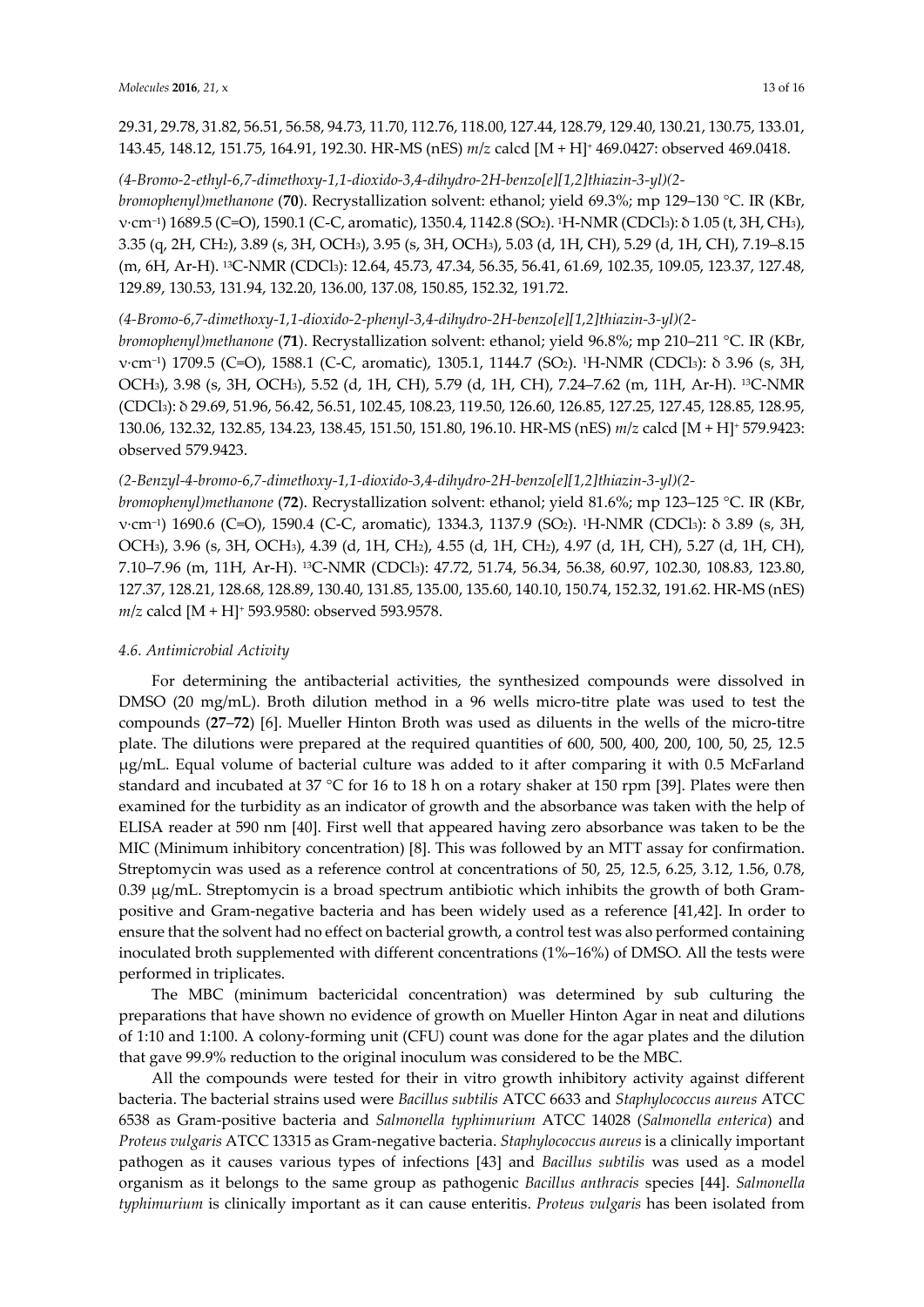29.31, 29.78, 31.82, 56.51, 56.58, 94.73, 11.70, 112.76, 118.00, 127.44, 128.79, 129.40, 130.21, 130.75, 133.01, 143.45, 148.12, 151.75, 164.91, 192.30. HR-MS (nES) *m*/*z* calcd [M + H]+ 469.0427: observed 469.0418.

#### *(4-Bromo-2-ethyl-6,7-dimethoxy-1,1-dioxido-3,4-dihydro-2H-benzo[e][1,2]thiazin-3-yl)(2-*

*bromophenyl)methanone* (**70**). Recrystallization solvent: ethanol; yield 69.3%; mp 129–130 °C. IR (KBr, ν·cm−1) 1689.5 (C=O), 1590.1 (C-C, aromatic), 1350.4, 1142.8 (SO2). 1H-NMR (CDCl3): δ 1.05 (t, 3H, CH3), 3.35 (q, 2H, CH2), 3.89 (s, 3H, OCH3), 3.95 (s, 3H, OCH3), 5.03 (d, 1H, CH), 5.29 (d, 1H, CH), 7.19–8.15 (m, 6H, Ar-H). 13C-NMR (CDCl3): 12.64, 45.73, 47.34, 56.35, 56.41, 61.69, 102.35, 109.05, 123.37, 127.48, 129.89, 130.53, 131.94, 132.20, 136.00, 137.08, 150.85, 152.32, 191.72.

#### *(4-Bromo-6,7-dimethoxy-1,1-dioxido-2-phenyl-3,4-dihydro-2H-benzo[e][1,2]thiazin-3-yl)(2-*

*bromophenyl)methanone* (**71**). Recrystallization solvent: ethanol; yield 96.8%; mp 210–211 °C. IR (KBr, ν·cm−1) 1709.5 (C=O), 1588.1 (C-C, aromatic), 1305.1, 1144.7 (SO2). 1H-NMR (CDCl3): δ 3.96 (s, 3H, OCH3), 3.98 (s, 3H, OCH3), 5.52 (d, 1H, CH), 5.79 (d, 1H, CH), 7.24–7.62 (m, 11H, Ar-H). 13C-NMR (CDCl3): δ 29.69, 51.96, 56.42, 56.51, 102.45, 108.23, 119.50, 126.60, 126.85, 127.25, 127.45, 128.85, 128.95, 130.06, 132.32, 132.85, 134.23, 138.45, 151.50, 151.80, 196.10. HR-MS (nES) *m*/*z* calcd [M + H]+ 579.9423: observed 579.9423.

#### *(2-Benzyl-4-bromo-6,7-dimethoxy-1,1-dioxido-3,4-dihydro-2H-benzo[e][1,2]thiazin-3-yl)(2-*

*bromophenyl)methanone* (**72**). Recrystallization solvent: ethanol; yield 81.6%; mp 123–125 °C. IR (KBr, ν·cm−1) 1690.6 (C=O), 1590.4 (C-C, aromatic), 1334.3, 1137.9 (SO2). 1H-NMR (CDCl3): δ 3.89 (s, 3H, OCH3), 3.96 (s, 3H, OCH3), 4.39 (d, 1H, CH2), 4.55 (d, 1H, CH2), 4.97 (d, 1H, CH), 5.27 (d, 1H, CH), 7.10–7.96 (m, 11H, Ar-H). 13C-NMR (CDCl3): 47.72, 51.74, 56.34, 56.38, 60.97, 102.30, 108.83, 123.80, 127.37, 128.21, 128.68, 128.89, 130.40, 131.85, 135.00, 135.60, 140.10, 150.74, 152.32, 191.62. HR-MS (nES) *m*/*z* calcd [M + H]+ 593.9580: observed 593.9578.

#### *4.6. Antimicrobial Activity*

For determining the antibacterial activities, the synthesized compounds were dissolved in DMSO (20 mg/mL). Broth dilution method in a 96 wells micro-titre plate was used to test the compounds (**27**–**72**) [6]. Mueller Hinton Broth was used as diluents in the wells of the micro-titre plate. The dilutions were prepared at the required quantities of 600, 500, 400, 200, 100, 50, 25, 12.5 µg/mL. Equal volume of bacterial culture was added to it after comparing it with 0.5 McFarland standard and incubated at 37 °C for 16 to 18 h on a rotary shaker at 150 rpm [39]. Plates were then examined for the turbidity as an indicator of growth and the absorbance was taken with the help of ELISA reader at 590 nm [40]. First well that appeared having zero absorbance was taken to be the MIC (Minimum inhibitory concentration) [8]. This was followed by an MTT assay for confirmation. Streptomycin was used as a reference control at concentrations of 50, 25, 12.5, 6.25, 3.12, 1.56, 0.78, 0.39 µg/mL. Streptomycin is a broad spectrum antibiotic which inhibits the growth of both Grampositive and Gram-negative bacteria and has been widely used as a reference [41,42]. In order to ensure that the solvent had no effect on bacterial growth, a control test was also performed containing inoculated broth supplemented with different concentrations (1%–16%) of DMSO. All the tests were performed in triplicates.

The MBC (minimum bactericidal concentration) was determined by sub culturing the preparations that have shown no evidence of growth on Mueller Hinton Agar in neat and dilutions of 1:10 and 1:100. A colony-forming unit (CFU) count was done for the agar plates and the dilution that gave 99.9% reduction to the original inoculum was considered to be the MBC.

All the compounds were tested for their in vitro growth inhibitory activity against different bacteria. The bacterial strains used were *Bacillus subtilis* ATCC 6633 and *Staphylococcus aureus* ATCC 6538 as Gram-positive bacteria and *Salmonella typhimurium* ATCC 14028 (*Salmonella enterica*) and *Proteus vulgaris* ATCC 13315 as Gram-negative bacteria. *Staphylococcus aureus* is a clinically important pathogen as it causes various types of infections [43] and *Bacillus subtilis* was used as a model organism as it belongs to the same group as pathogenic *Bacillus anthracis* species [44]. *Salmonella typhimurium* is clinically important as it can cause enteritis. *Proteus vulgaris* has been isolated from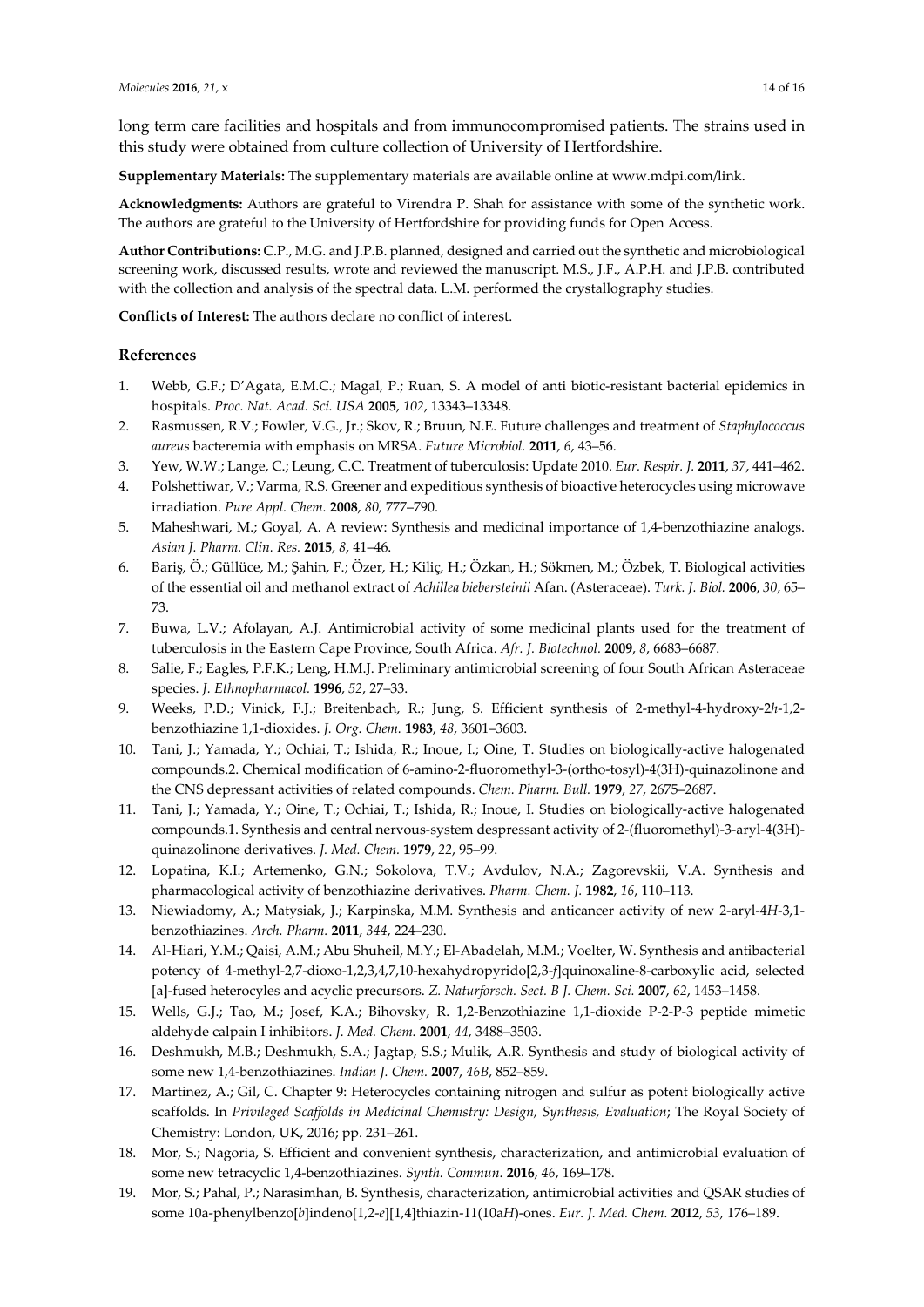long term care facilities and hospitals and from immunocompromised patients. The strains used in this study were obtained from culture collection of University of Hertfordshire.

**Supplementary Materials:** The supplementary materials are available online at www.mdpi.com/link.

**Acknowledgments:** Authors are grateful to Virendra P. Shah for assistance with some of the synthetic work. The authors are grateful to the University of Hertfordshire for providing funds for Open Access.

**Author Contributions:** C.P., M.G. and J.P.B. planned, designed and carried out the synthetic and microbiological screening work, discussed results, wrote and reviewed the manuscript. M.S., J.F., A.P.H. and J.P.B. contributed with the collection and analysis of the spectral data. L.M. performed the crystallography studies.

**Conflicts of Interest:** The authors declare no conflict of interest.

#### **References**

- 1. Webb, G.F.; D'Agata, E.M.C.; Magal, P.; Ruan, S. A model of anti biotic-resistant bacterial epidemics in hospitals. *Proc. Nat. Acad. Sci. USA* **2005**, *102*, 13343–13348.
- 2. Rasmussen, R.V.; Fowler, V.G., Jr.; Skov, R.; Bruun, N.E. Future challenges and treatment of *Staphylococcus aureus* bacteremia with emphasis on MRSA. *Future Microbiol.* **2011**, *6*, 43–56.
- 3. Yew, W.W.; Lange, C.; Leung, C.C. Treatment of tuberculosis: Update 2010. *Eur. Respir. J.* **2011**, *37*, 441–462.
- 4. Polshettiwar, V.; Varma, R.S. Greener and expeditious synthesis of bioactive heterocycles using microwave irradiation. *Pure Appl. Chem.* **2008**, *80*, 777–790.
- 5. Maheshwari, M.; Goyal, A. A review: Synthesis and medicinal importance of 1,4-benzothiazine analogs. *Asian J. Pharm. Clin. Res.* **2015**, *8*, 41–46.
- 6. Bariş, Ö.; Güllüce, M.; Şahin, F.; Özer, H.; Kiliç, H.; Özkan, H.; Sökmen, M.; Özbek, T. Biological activities of the essential oil and methanol extract of *Achillea biebersteinii* Afan. (Asteraceae). *Turk. J. Biol.* **2006**, *30*, 65– 73.
- 7. Buwa, L.V.; Afolayan, A.J. Antimicrobial activity of some medicinal plants used for the treatment of tuberculosis in the Eastern Cape Province, South Africa. *Afr. J. Biotechnol.* **2009**, *8*, 6683–6687.
- 8. Salie, F.; Eagles, P.F.K.; Leng, H.M.J. Preliminary antimicrobial screening of four South African Asteraceae species. *J. Ethnopharmacol.* **1996**, *52*, 27–33.
- 9. Weeks, P.D.; Vinick, F.J.; Breitenbach, R.; Jung, S. Efficient synthesis of 2-methyl-4-hydroxy-2*h*-1,2 benzothiazine 1,1-dioxides. *J. Org. Chem.* **1983**, *48*, 3601–3603.
- 10. Tani, J.; Yamada, Y.; Ochiai, T.; Ishida, R.; Inoue, I.; Oine, T. Studies on biologically-active halogenated compounds.2. Chemical modification of 6-amino-2-fluoromethyl-3-(ortho-tosyl)-4(3H)-quinazolinone and the CNS depressant activities of related compounds. *Chem. Pharm. Bull.* **1979**, *27*, 2675–2687.
- 11. Tani, J.; Yamada, Y.; Oine, T.; Ochiai, T.; Ishida, R.; Inoue, I. Studies on biologically-active halogenated compounds.1. Synthesis and central nervous-system despressant activity of 2-(fluoromethyl)-3-aryl-4(3H) quinazolinone derivatives. *J. Med. Chem.* **1979**, *22*, 95–99.
- 12. Lopatina, K.I.; Artemenko, G.N.; Sokolova, T.V.; Avdulov, N.A.; Zagorevskii, V.A. Synthesis and pharmacological activity of benzothiazine derivatives. *Pharm. Chem. J.* **1982**, *16*, 110–113.
- 13. Niewiadomy, A.; Matysiak, J.; Karpinska, M.M. Synthesis and anticancer activity of new 2-aryl-4*H*-3,1 benzothiazines. *Arch. Pharm.* **2011**, *344*, 224–230.
- 14. Al-Hiari, Y.M.; Qaisi, A.M.; Abu Shuheil, M.Y.; El-Abadelah, M.M.; Voelter, W. Synthesis and antibacterial potency of 4-methyl-2,7-dioxo-1,2,3,4,7,10-hexahydropyrido[2,3-*f*]quinoxaline-8-carboxylic acid, selected [a]-fused heterocyles and acyclic precursors. *Z. Naturforsch. Sect. B J. Chem. Sci.* **2007**, *62*, 1453–1458.
- 15. Wells, G.J.; Tao, M.; Josef, K.A.; Bihovsky, R. 1,2-Benzothiazine 1,1-dioxide P-2-P-3 peptide mimetic aldehyde calpain I inhibitors. *J. Med. Chem.* **2001**, *44*, 3488–3503.
- 16. Deshmukh, M.B.; Deshmukh, S.A.; Jagtap, S.S.; Mulik, A.R. Synthesis and study of biological activity of some new 1,4-benzothiazines. *Indian J. Chem.* **2007**, *46B*, 852–859.
- 17. Martinez, A.; Gil, C. Chapter 9: Heterocycles containing nitrogen and sulfur as potent biologically active scaffolds. In *Privileged Scaffolds in Medicinal Chemistry: Design, Synthesis, Evaluation*; The Royal Society of Chemistry: London, UK, 2016; pp. 231–261.
- 18. Mor, S.; Nagoria, S. Efficient and convenient synthesis, characterization, and antimicrobial evaluation of some new tetracyclic 1,4-benzothiazines. *Synth. Commun.* **2016**, *46*, 169–178.
- 19. Mor, S.; Pahal, P.; Narasimhan, B. Synthesis, characterization, antimicrobial activities and QSAR studies of some 10a-phenylbenzo[*b*]indeno[1,2-*e*][1,4]thiazin-11(10a*H*)-ones. *Eur. J. Med. Chem.* **2012**, *53*, 176–189.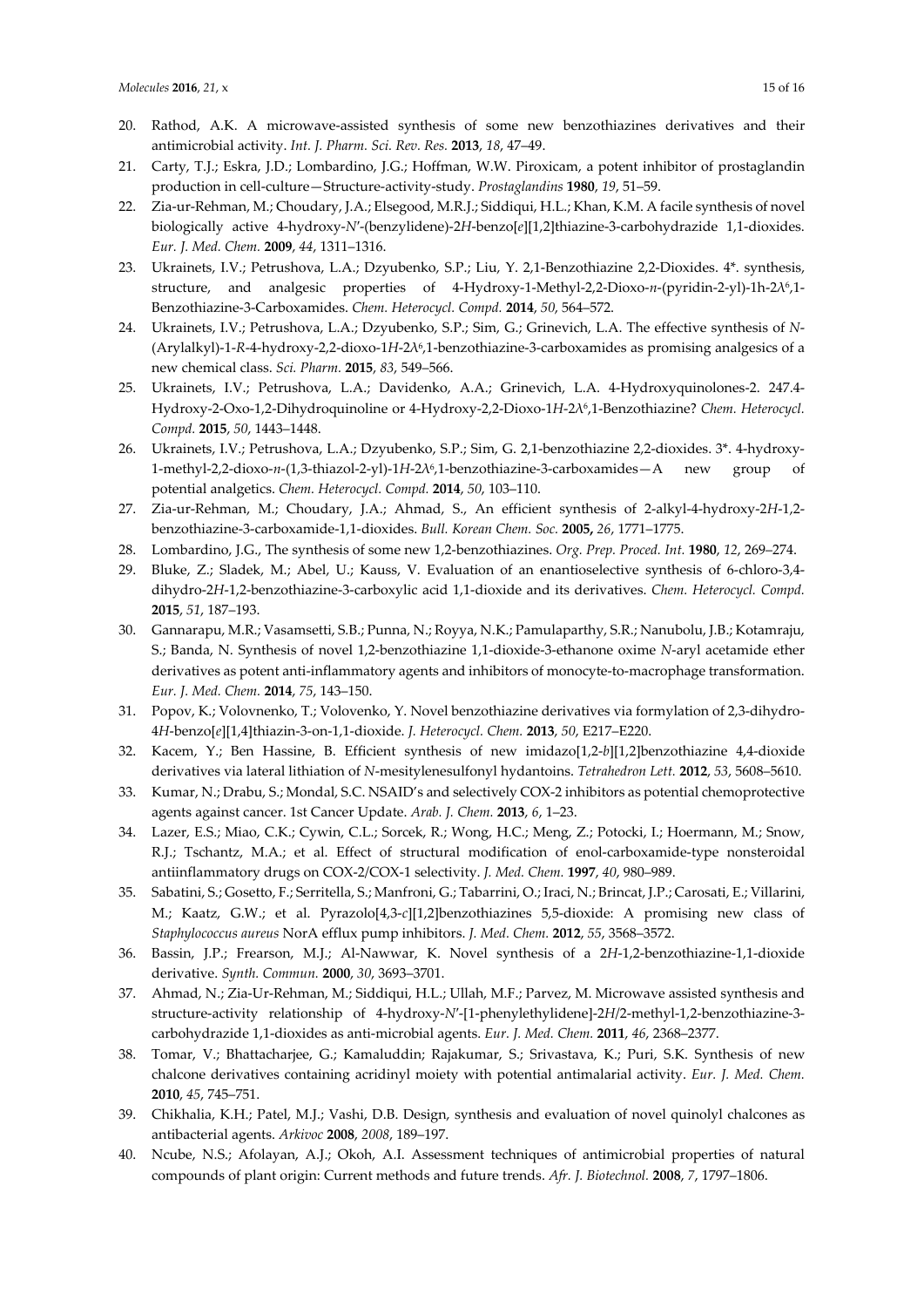- 20. Rathod, A.K. A microwave-assisted synthesis of some new benzothiazines derivatives and their antimicrobial activity. *Int. J. Pharm. Sci. Rev. Res.* **2013**, *18*, 47–49.
- 21. Carty, T.J.; Eskra, J.D.; Lombardino, J.G.; Hoffman, W.W. Piroxicam, a potent inhibitor of prostaglandin production in cell-culture—Structure-activity-study. *Prostaglandins* **1980**, *19*, 51–59.
- 22. Zia-ur-Rehman, M.; Choudary, J.A.; Elsegood, M.R.J.; Siddiqui, H.L.; Khan, K.M. A facile synthesis of novel biologically active 4-hydroxy-*N*′-(benzylidene)-2*H*-benzo[*e*][1,2]thiazine-3-carbohydrazide 1,1-dioxides. *Eur. J. Med. Chem.* **2009**, *44*, 1311–1316.
- 23. Ukrainets, I.V.; Petrushova, L.A.; Dzyubenko, S.P.; Liu, Y. 2,1-Benzothiazine 2,2-Dioxides. 4\*. synthesis, structure, and analgesic properties of 4-Hydroxy-1-Methyl-2,2-Dioxo-*n*-(pyridin-2-yl)-1h-2λ6,1- Benzothiazine-3-Carboxamides. *Chem. Heterocycl. Compd.* **2014**, *50*, 564–572.
- 24. Ukrainets, I.V.; Petrushova, L.A.; Dzyubenko, S.P.; Sim, G.; Grinevich, L.A. The effective synthesis of *N* (Arylalkyl)-1-*R*-4-hydroxy-2,2-dioxo-1*H*-2λ6,1-benzothiazine-3-carboxamides as promising analgesics of a new chemical class. *Sci. Pharm.* **2015**, *83*, 549–566.
- 25. Ukrainets, I.V.; Petrushova, L.A.; Davidenko, A.A.; Grinevich, L.A. 4-Hydroxyquinolones-2. 247.4- Hydroxy-2-Oxo-1,2-Dihydroquinoline or 4-Hydroxy-2,2-Dioxo-1*H*-2λ6,1-Benzothiazine? *Chem. Heterocycl. Compd.* **2015**, *50*, 1443–1448.
- 26. Ukrainets, I.V.; Petrushova, L.A.; Dzyubenko, S.P.; Sim, G. 2,1-benzothiazine 2,2-dioxides. 3\*. 4-hydroxy-1-methyl-2,2-dioxo-*n*-(1,3-thiazol-2-yl)-1*H*-2λ6,1-benzothiazine-3-carboxamides—A new group of potential analgetics. *Chem. Heterocycl. Compd.* **2014**, *50*, 103–110.
- 27. Zia-ur-Rehman, M.; Choudary, J.A.; Ahmad, S., An efficient synthesis of 2-alkyl-4-hydroxy-2*H*-1,2 benzothiazine-3-carboxamide-1,1-dioxides. *Bull. Korean Chem. Soc.* **2005,** *26*, 1771–1775.
- 28. Lombardino, J.G., The synthesis of some new 1,2-benzothiazines. *Org. Prep. Proced. Int.* **1980**, *12*, 269–274.
- 29. Bluke, Z.; Sladek, M.; Abel, U.; Kauss, V. Evaluation of an enantioselective synthesis of 6-chloro-3,4 dihydro-2*H*-1,2-benzothiazine-3-carboxylic acid 1,1-dioxide and its derivatives. *Chem. Heterocycl. Compd.*  **2015**, *51*, 187–193.
- 30. Gannarapu, M.R.; Vasamsetti, S.B.; Punna, N.; Royya, N.K.; Pamulaparthy, S.R.; Nanubolu, J.B.; Kotamraju, S.; Banda, N. Synthesis of novel 1,2-benzothiazine 1,1-dioxide-3-ethanone oxime *N*-aryl acetamide ether derivatives as potent anti-inflammatory agents and inhibitors of monocyte-to-macrophage transformation. *Eur. J. Med. Chem.* **2014**, *75*, 143–150.
- 31. Popov, K.; Volovnenko, T.; Volovenko, Y. Novel benzothiazine derivatives via formylation of 2,3-dihydro-4*H*-benzo[*e*][1,4]thiazin-3-on-1,1-dioxide. *J. Heterocycl. Chem.* **2013**, *50*, E217–E220.
- 32. Kacem, Y.; Ben Hassine, B. Efficient synthesis of new imidazo[1,2-*b*][1,2]benzothiazine 4,4-dioxide derivatives via lateral lithiation of *N*-mesitylenesulfonyl hydantoins. *Tetrahedron Lett.* **2012**, *53*, 5608–5610.
- 33. Kumar, N.; Drabu, S.; Mondal, S.C. NSAID's and selectively COX-2 inhibitors as potential chemoprotective agents against cancer. 1st Cancer Update. *Arab. J. Chem.* **2013**, *6*, 1–23.
- 34. Lazer, E.S.; Miao, C.K.; Cywin, C.L.; Sorcek, R.; Wong, H.C.; Meng, Z.; Potocki, I.; Hoermann, M.; Snow, R.J.; Tschantz, M.A.; et al. Effect of structural modification of enol-carboxamide-type nonsteroidal antiinflammatory drugs on COX-2/COX-1 selectivity. *J. Med. Chem.* **1997**, *40*, 980–989.
- 35. Sabatini, S.; Gosetto, F.; Serritella, S.; Manfroni, G.; Tabarrini, O.; Iraci, N.; Brincat, J.P.; Carosati, E.; Villarini, M.; Kaatz, G.W.; et al. Pyrazolo[4,3-*c*][1,2]benzothiazines 5,5-dioxide: A promising new class of *Staphylococcus aureus* NorA efflux pump inhibitors. *J. Med. Chem.* **2012**, *55*, 3568–3572.
- 36. Bassin, J.P.; Frearson, M.J.; Al-Nawwar, K. Novel synthesis of a 2*H*-1,2-benzothiazine-1,1-dioxide derivative. *Synth. Commun.* **2000**, *30*, 3693–3701.
- 37. Ahmad, N.; Zia-Ur-Rehman, M.; Siddiqui, H.L.; Ullah, M.F.; Parvez, M. Microwave assisted synthesis and structure-activity relationship of 4-hydroxy-*N*′-[1-phenylethylidene]-2*H*/2-methyl-1,2-benzothiazine-3 carbohydrazide 1,1-dioxides as anti-microbial agents. *Eur. J. Med. Chem.* **2011**, *46*, 2368–2377.
- 38. Tomar, V.; Bhattacharjee, G.; Kamaluddin; Rajakumar, S.; Srivastava, K.; Puri, S.K. Synthesis of new chalcone derivatives containing acridinyl moiety with potential antimalarial activity. *Eur. J. Med. Chem.*  **2010**, *45*, 745–751.
- 39. Chikhalia, K.H.; Patel, M.J.; Vashi, D.B. Design, synthesis and evaluation of novel quinolyl chalcones as antibacterial agents. *Arkivoc* **2008**, *2008*, 189–197.
- 40. Ncube, N.S.; Afolayan, A.J.; Okoh, A.I. Assessment techniques of antimicrobial properties of natural compounds of plant origin: Current methods and future trends. *Afr. J. Biotechnol.* **2008**, *7*, 1797–1806.